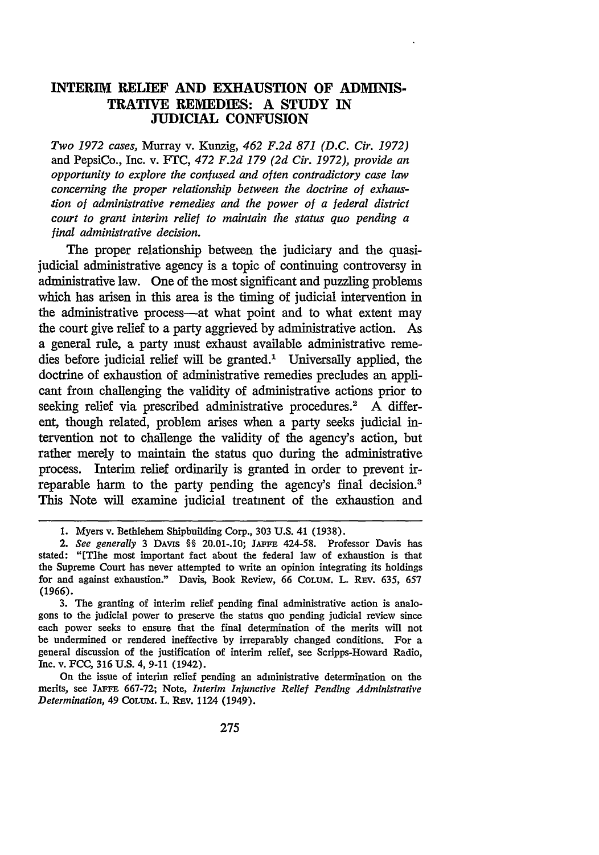# **INTERIM RELIEF AND EXHAUSTION OF ADMINIS-TRATIVE REMEDIES: A STUDY IN JUDICIAL CONFUSION**

*Two 1972 cases,* Murray v. Kunzig, *462 F.2d 871 (D.C. Cir. 1972)* and PepsiCo., Inc. v. FTC, *472 F.2d 179 (2d Cir. 1972), provide an opportunity to explore the confused and often contradictory case law concerning the proper relationship between the doctrine of exhaustion of administrative remedies and the power of a federal district court to grant interim relief to maintain the status quo pending a final administrative decision.*

The proper relationship between the judiciary and the quasijudicial administrative agency is a topic of continuing controversy in administrative law. One of the most significant and puzzling problems which has arisen in this area is the timing of judicial intervention in the administrative process—at what point and to what extent may the court give relief to a party aggrieved by administrative action. As a general rule, a party must exhaust available administrative remedies before judicial relief will be granted.' Universally applied, the doctrine of exhaustion of administrative remedies precludes an applicant from challenging the validity of administrative actions prior to seeking relief via prescribed administrative procedures.<sup>2</sup> A different, though related, problem arises when a party seeks judicial intervention not to challenge the validity of the agency's action, but rather merely to maintain the status quo during the administrative process. Interim relief ordinarily is granted in order to prevent irreparable harm to the party pending the agency's final decision.' This Note will examine judicial treatment of the exhaustion and

On the issue of interim relief pending an administrative determination on the merits, see **JAFFE** 667-72; Note, *Interim Injunctive Relief Pending Administrative Determination,* 49 CoLum. L. REv. 1124 (1949).

<sup>1.</sup> Myers v. Bethlehem Shipbuilding Corp., 303 U.S. 41 (1938).

*<sup>2.</sup> See generally* 3 DAvis §§ 20.01-.10; **JAFFE** 424-58. Professor Davis has stated: "ETihe most important fact about the federal law of exhaustion is that the Supreme Court has never attempted to write an opinion integrating its holdings for and against exhaustion." Davis, Book Review, 66 COLUM. L. REV. 635, 657 (1966).

<sup>3.</sup> The granting of interim relief pending final administrative action is analogons to the judicial power to preserve the status quo pending judicial review since each power seeks to ensure that the final determination of the merits will not be undermined or rendered ineffective by irreparably changed conditions. For a general discussion of the justification of interim relief, see Scripps-Howard Radio, Inc. v. FCC, 316 U.S. 4, 9-11 (1942).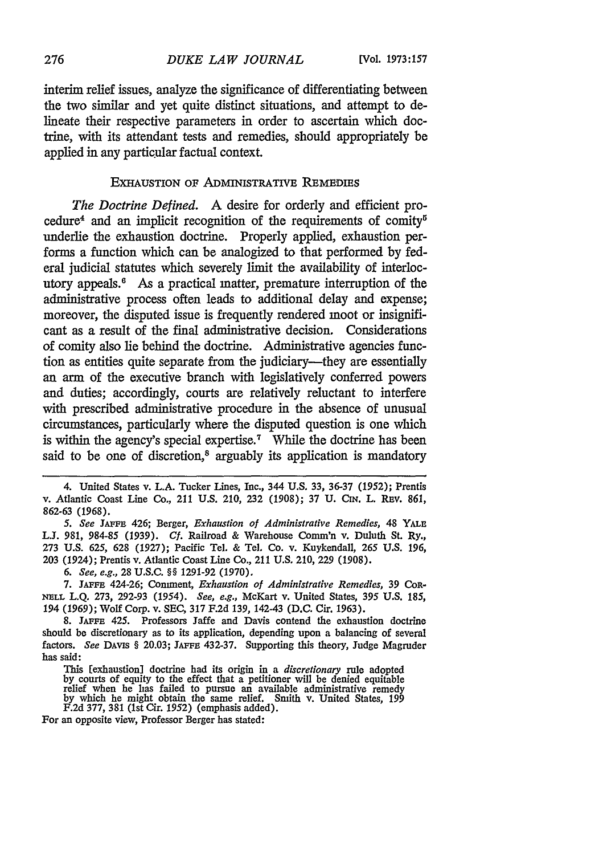interim relief issues, analyze the significance of differentiating between the two similar and yet quite distinct situations, and attempt to delineate their respective parameters in order to ascertain which doctrine, with its attendant tests and remedies, should appropriately be applied in any particular factual context.

### EXHAUSTION OF ADMINISTRATIVE REMEDIES

*The Doctrine Defined.* A desire for orderly and efficient procedure<sup>4</sup> and an implicit recognition of the requirements of comity<sup>6</sup> underlie the exhaustion doctrine. Properly applied, exhaustion performs a function which can be analogized to that performed by federal judicial statutes which severely limit the availability of interlocutory appeals.<sup>6</sup> As a practical matter, premature interruption of the administrative process often leads to additional delay and expense; moreover, the disputed issue is frequently rendered moot or insignificant as a result of the final administrative decision. Considerations of comity also lie behind the doctrine. Administrative agencies function as entities quite separate from the judiciary-they are essentially an arm of the executive branch with legislatively conferred powers and duties; accordingly, courts are relatively reluctant to interfere with prescribed administrative procedure in the absence of unusual circumstances, particularly where the disputed question is one which is within the agency's special expertise.<sup>7</sup> While the doctrine has been said to be one of discretion,<sup>8</sup> arguably its application is mandatory

4. United States v. L.A. Tucker Lines, Inc., 344 U.S. 33, 36-37 (1952); Prentis v. Atlantic Coast Line Co., 211 U.S. 210, 232 (1908); 37 U. CIN. L. REV. 861, 862-63 (1968).

*5. See* **JAFFE** 426; Berger, *Exhaustion of Administrative Remedies,* 48 **YALE** *LJ.* 981, 984-85 *(1939). Cf.* Railroad & Warehouse Comm'n v. Duluth St. Ry., 273 U.S. 625, 628 (1927); Pacific Tel. & Tel. Co. v. Kuykendall, 265 U.S. 196, 203 (1924); Prentis v. Atlantic Coast Line Co., 211 U.S. 210, 229 (1908).

*6. See, e.g.,* 28 U.S.C. §§ 1291-92 (1970).

7. **JAFFE** 424-26; Comment, *Exhaustion of Administrative Remedies,* 39 CoR-**NELL** L.Q. 273, 292-93 *(1954). See, e.g.,* McKart v. United States, 395 U.S. 185, 194 (1969); Wolf Corp. v. SEC, 317 F.2d 139, 142-43 (D.C. Cir. 1963).

8. **JAFFE** 425. Professors Jaffe and Davis contend the exhaustion doctrine should be discretionary as to its application, depending upon a balancing of several factors. See DAVIS § 20.03; JAFFE 432-37. Supporting this theory, Judge Magruder has said:

This [exhaustion] doctrine had its origin in a *discretionary* rule adopted<br>by courts of equity to the effect that a petitioner will be denied equitable<br>relief when he las failed to pursue an available administrative remed

For an opposite view, Professor Berger has stated: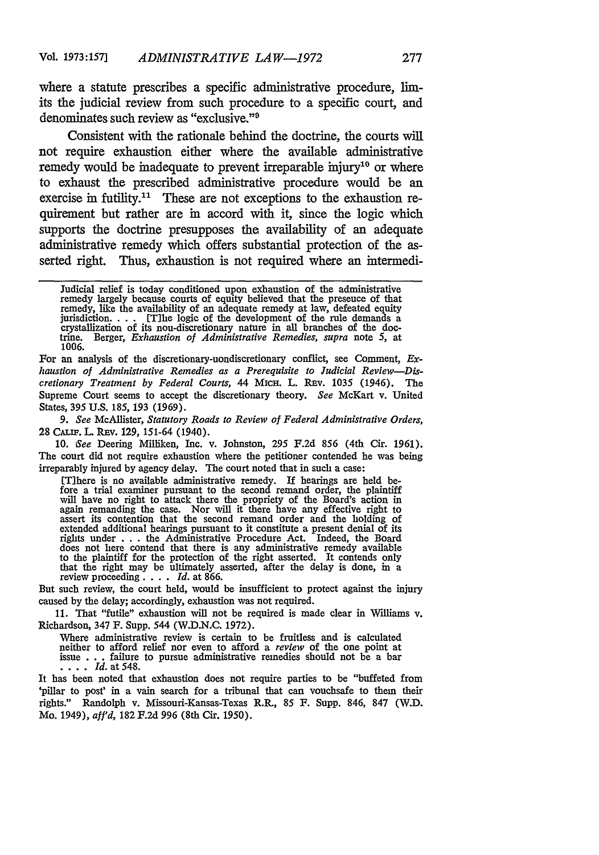where a statute prescribes a specific administrative procedure, limits the judicial review from such procedure to a specific court, and denominates such review as "exclusive."<sup>9</sup>

Consistent with the rationale behind the doctrine, the courts will not require exhaustion either where the available administrative remedy would be inadequate to prevent irreparable injury<sup>10</sup> or where to exhaust the prescribed administrative procedure would be an exercise in futility.<sup>11</sup> These are not exceptions to the exhaustion requirement but rather are in accord with it, since the logic which supports the doctrine presupposes the availability of an adequate administrative remedy which offers substantial protection of the asserted right. Thus, exhaustion is not required where an intermedi-

For an analysis of the discretionary-nondiscretionary conflict, see Comment, *Exhaustion of Administrative Remedies as a Prerequisite to Judicial Review-Discretionary Treatment by Federal Courts,* 44 MIcH. L. Ray. 1035 (1946). The Supreme Court seems to accept the discretionary theory. *See* McKart v. United States, 395 U.S. 185, 193 (1969).

*9. See* McAllister, *Statutory Roads to Review of Federal Administrative Orders,* 28 CALIF. L. REV. 129, 151-64 (1940).

10. See Deering Milliken, Inc. v. Johnston, 295 F.2d 856 (4th Cir. 1961). The court did not require exhaustion where the petitioner contended he was being irreparably injured by agency delay. The court noted that in such a case:

[Tihere is no available administrative remedy. If hearings are held be-fore a trial examiner pursuant to the second remand order, the plaintiff will have no right to attack there the propriety of the Board's action in again remanding the case. Nor will it there have any effective right to assert its contention that the second remand order and the holding of extended additional hearings pursuant to it constitute a present denial of its<br>rights under . . . the Administrative Procedure Act. Indeed, the Board<br>does not liere contend that there is any administrative remedy available to the plaintiff for the protection of the right asserted. It contends only that the right may be ultimately asserted, after the delay is done, in a review proceeding. . **.** . *Id.* at 866.

But such review, the court held, would be insufficient to protect against the injury caused by the delay; accordingly, exhaustion was not required.

11. That "futile" exhaustion will not be required is made clear in Williams v. Richardson, 347 F. Supp. 544 (W.D.N.C. 1972).

Where administrative review is certain to be fruitless and is calculated neither to afford relief nor even to afford a *review* of the one point at issue .**.** .failure to pursue administrative remedies should not be a bar **' \* l\*\*** *Id.* at 548.

It has been noted that exhaustion does not require parties to be "buffeted from 'pillar to post' in a vain search for a tribunal that can vouchsafe to them their rights." Randolph v. Missouri-Kansas-Texas R.R., 85 F. Supp. 846, 847 (W.D. Mo. 1949), *affd,* 182 F.2d 996 (8th Cir. 1950).

Judicial relief is today conditioned upon exhaustion of the administrative remedy largely because courts of equity believed that the presence of that remedy, like the availability of an adequate remedy at law, defeated equity jurisdiction. . **.** . [Tihe logic of the development of the rule demands a crystallization of its non-discretionary nature in all branches of the doc-trine. Berger, *Exhaustion of Administrative Remedies, supra* note 5, at 1006.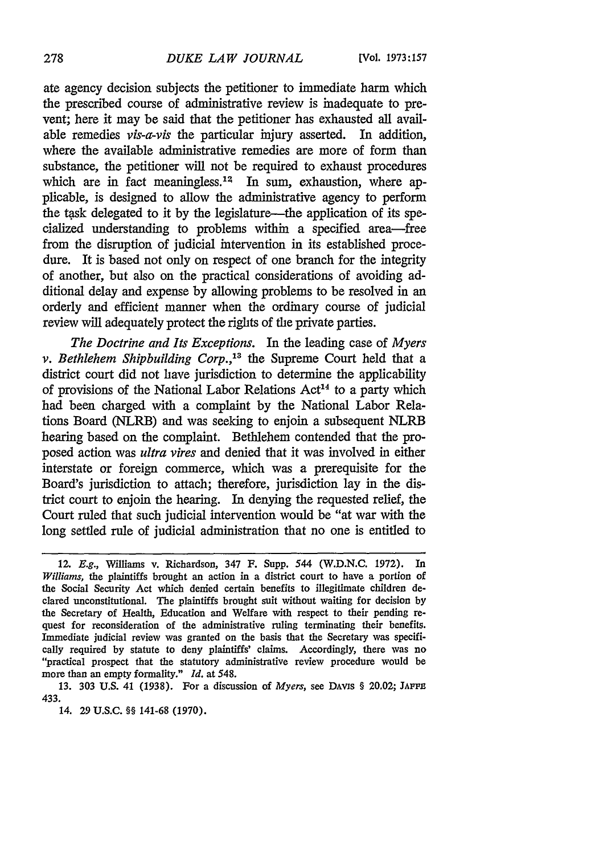ate agency decision subjects the petitioner to immediate harm which the prescribed course of administrative review is inadequate to prevent; here it may be said that the petitioner has exhausted all available remedies *vis-a-vis* the particular injury asserted. In addition, where the available administrative remedies are more of form than substance, the petitioner will not be required to exhaust procedures which are in fact meaningless.<sup>12</sup> In sum, exhaustion, where applicable, is designed to allow the administrative agency to perform the task delegated to it by the legislature—the application of its specialized understanding to problems within a specified area-free from the disruption of judicial intervention in its established procedure. It is based not only on respect of one branch for the integrity of another, but also on the practical considerations of avoiding additional delay and expense by allowing problems to be resolved in an orderly and efficient manner when the ordinary course of judicial review will adequately protect the rights of the private parties.

*The Doctrine and Its Exceptions.* In the leading case of *Myers v. Bethlehem Shipbuilding Corp.,"3* the Supreme Court held that a district court did not have jurisdiction to determine the applicability of provisions of the National Labor Relations  $Act^{14}$  to a party which had been charged with a complaint by the National Labor Relations Board (NLRB) and was seeking to enjoin a subsequent NLRB hearing based on the complaint. Bethlehem contended that the proposed action was *ultra vires* and denied that it was involved in either interstate or foreign commerce, which was a prerequisite for the Board's jurisdiction to attach; therefore, jurisdiction lay in the district court to enjoin the hearing. In denying the requested relief, the Court ruled that such judicial intervention would be "at war with the long settled rule of judicial administration that no one is entitled to

13. 303 U.S. 41 (1938). For a discussion of *Myers,* see DAvis § 20.02; **JAFFz** 433.

14. 29 U.S.C. §§ 141-68 (1970).

<sup>12.</sup> *E.g.,* Williams v. Richardson, 347 F. Supp. 544 (W.D.N.C. 1972). In *Williams,* the plaintiffs brought an action in a district court to have a portion of the Social Security Act which denied certain benefits to illegitimate children declared unconstitutional. The plaintiffs brought suit without waiting for decision by the Secretary of Health, Education and Welfare with respect to their pending request for reconsideration of the administrative ruling terminating their benefits. Immediate judicial review was granted on the basis that the Secretary was specifically required by statute to deny plaintiffs' claims. Accordingly, there was no "practical prospect that the statutory administrative review procedure would be more than an empty formality." *Id.* at 548.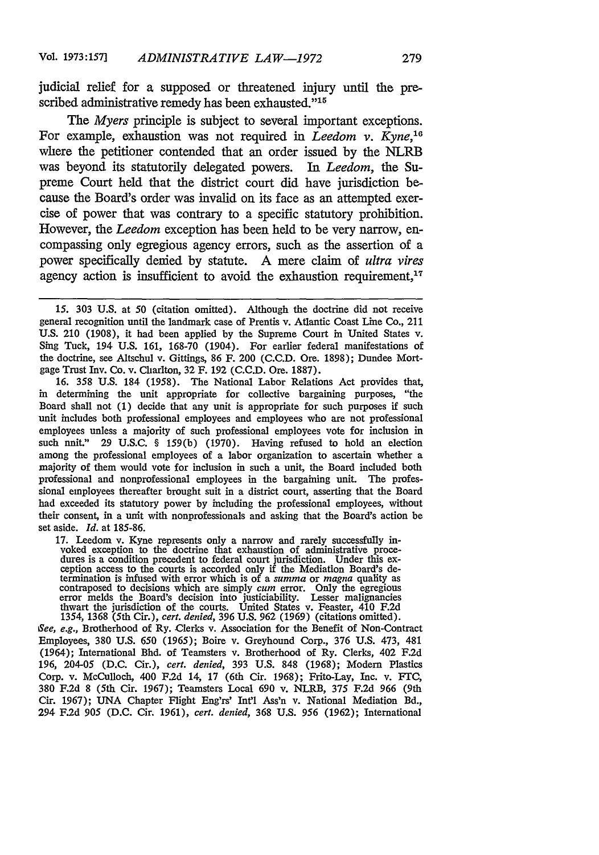judicial relief for a supposed or threatened injury until the prescribed administrative remedy has been exhausted."<sup>15</sup>

*The Myers* principle is subject to several important exceptions. For example, exhaustion was not required in *Leedom v. Kyne.*<sup>16</sup> where the petitioner contended that an order issued **by** the NLRB was beyond its statutorily delegated powers. *In Leedom,* the Supreme Court held that the district court did have jurisdiction because the Board's order was invalid on its face as an attempted exercise of power that was contrary to a specific statutory prohibition. However, the *Leedom* exception has been held to be very narrow, encompassing only egregious agency errors, such as the assertion of a power specifically denied by statute. A mere claim of *ultra vires* agency action is insufficient to avoid the exhaustion requirement, $17$ 

16. 358 U.S. 184 (1958). The National Labor Relations Act provides that, in determining the unit appropriate for collective bargaining purposes, "the Board shall not (1) decide that any unit is appropriate for such purposes if such unit includes both professional employees and employees who are not professional employees unless a majority of such professional employees vote for inclusion in such nnit." 29 U.S.C. § 159(b) (1970). Having refused to hold an election among the professional employees of a labor organization to ascertain whether a majority of them would vote for inclusion in such a unit, the Board included both professional and nonprofessional employees in the bargaining unit. The professional employees thereafter brought suit in a district court, asserting that the Board had exceeded its statutory power by including the professional employees, without their consent, in a unit with nonprofessionals and asking that the Board's action be set aside. *Id.* at 185-86.

17. Leedom v. Kyne represents only a narrow and rarely successfully in-voked exception to the doctrine that exhaustion of administrative procedures is a condition precedent to federal court jurisdiction. Under this ex- ception access to the courts is accorded only if the Mediation Board's determination is infused with error which is of a *summa* or *magna* quality as<br>contraposed to decisions which are simply *cum* error. Only the egregious<br>error melds the Board's decision into justiciability. Lesser malignanc

*See, e.g.,* Brotherhood of Ry. Clerks v. Association for the Benefit of Non-Contract Employees, 380 U.S. 650 *(1965);* Boire v. Greyhound Corp., 376 U.S. 473, 481 (1964); International Bhd. of Teamsters v. Brotherhood of Ry. Clerks, 402 F.2d 196, 204-05 (D.C. Cir.), *cert. denied,* 393 U.S. 848 (1968); Modem Plastics Corp. v. McCulloch, 400 F.2d 14, 17 (6th Cir. 1968); Frito-Lay, Inc. v. FTC, 380 F.2d 8 (5th Cir. 1967); Teamsters Local 690 v. NLRB, 375 F.2d 966 (9th Cir. 1967); UNA Chapter Flight Eng'rs' Int'l Ass'n v. National Mediation Bd., 294 F.2d 905 (D.C. Cir. 1961), *cert. denied,* 368 U.S. 956 (1962); International

<sup>15. 303</sup> U.S. at 50 (citation omitted). Although the doctrine did not receive general recognition until the landmark case of Prentis v. Atlantic Coast Line Co., 211 U.S. 210 (1908), it had been applied by the Supreme Court in United States v. Sing Tuck, 194 U.S. 161, 168-70 (1904). For earlier federal manifestations of the doctrine, see Altschul v. Gittings, 86 F. 200 (C.C.D. Ore. 1898); Dundee Mortgage Trust Inv. Co. v. Charlton, 32 F. 192 (C.C.D. Ore. 1887).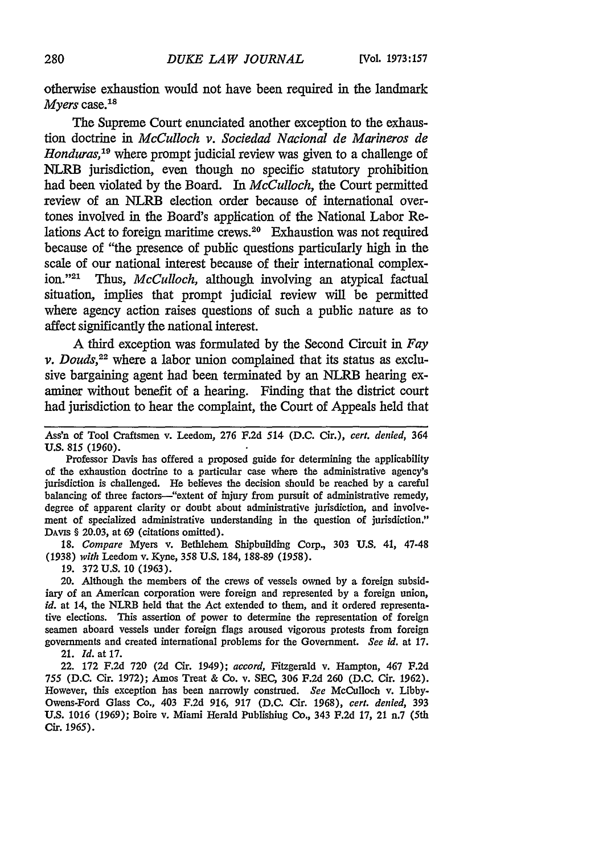otherwise exhaustion would not have been required in the landmark *Myers* case.<sup>18</sup>

The Supreme Court enunciated another exception to the exhaustion doctrine in *McCulloch v. Sociedad Nacional de Marineros de Honduras,"9* where prompt judicial review was given to a challenge of NLRB jurisdiction, even though no specific statutory prohibition had been violated by the Board. In *McCulloch,* the Court permitted review of an NLRB election order because of international overtones involved in the Board's application of the National Labor Relations Act to foreign maritime crews.<sup>20</sup> Exhaustion was not required because of "the presence of public questions particularly high in the scale of our national interest because of their international complexion."<sup>21</sup> Thus, *McCulloch*, although involving an atypical factual situation, implies that prompt judicial review will be permitted where agency action raises questions of such a public nature as to affect significantly the national interest.

A third exception was formulated by the Second Circuit in Fay *v. Douds*,<sup>22</sup> where a labor union complained that its status as exclusive bargaining agent had been terminated by an NLRB hearing examiner without benefit of a hearing. Finding that the district court had jurisdiction to hear the complaint, the Court of Appeals held that

Ass'n of Tool Craftsmen v. Leedom, 276 F.2d 514 (D.C. Cir.), cert. *denied,* 364 U.S. 815 (1960).

Professor Davis has offered a proposed guide for determining the applicability of the exhaustion doctrine to a particular case where the administrative agency's jurisdiction is challenged. He believes the decision should be reached by a careful balancing of three factors--"extent of injury from pursuit of administrative remedy, degree of apparent clarity or doubt about administrative jurisdiction, and involvement of specialized administrative understanding in the question of jurisdiction." DAVIS § 20.03, at 69 (citations omitted).

18. *Compare* Myers v. Bethlehem Shipbuilding Corp., 303 **U.S.** 41, 47-48 (1938) *with* Leedom v. Kyne, 358 U.S. 184, 188-89 (1958).

19. 372 U.S. 10 (1963).

20. Although the members of the crews of vessels owned **by** a foreign subsidiary of an American corporation were foreign and represented by a foreign union, *id.* at 14, the NLRB held that the Act extended to them, and it ordered representative elections. This assertion of power to determine the representation of foreign seamen aboard vessels under foreign flags aroused vigorous protests from foreign governments and created international problems for the Government. *See id.* at 17. 21. *Id.* at 17.

22. 172 F.2d 720 (2d Cir. 1949); *accord,* Fitzgerald v. Hampton, 467 F.2d 755 (D.C. Cir. 1972); Amos Treat & Co. v. **SEC,** 306 F.2d 260 **(D.C.** Cir. 1962). However, this exception has been narrowly construed. *See* McCulloch v. Libby-Owens-Ford Glass Co., 403 F.2d 916, 917 (D.C. Cir. 1968), *cert. denied,* 393 U.S. 1016 **(1969);** Boire v. Miami Herald Publishing Co., 343 F.2d 17, 21 n.7 (5th **Cir.** *1965).*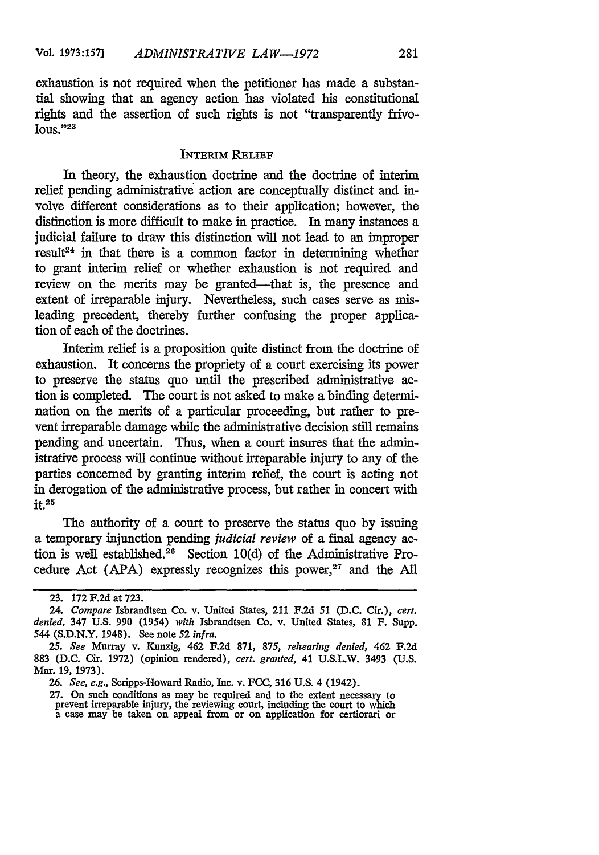exhaustion is not required when the petitioner has made a substantial showing that an agency action has violated his constitutional rights and the assertion of such rights is not "transparently frivo**lous." 23**

### INTERIM RELIEF

In theory, the exhaustion doctrine and the doctrine of interim relief pending administrative action are conceptually distinct and involve different considerations as to their application; however, the distinction is more difficult to make in practice. In many instances a judicial failure to draw this distinction will not lead to an improper result<sup>24</sup> in that there is a common factor in determining whether to grant interim relief or whether exhaustion is not required and review on the merits may be granted—that is, the presence and extent of irreparable injury. Nevertheless, such cases serve as misleading precedent, thereby further confusing the proper application of each of the doctrines.

Interim relief is a proposition quite distinct from the doctrine of exhaustion. It concerns the propriety of a court exercising its power to preserve the status quo until the prescribed administrative action is completed. The court is not asked to make a binding determination on the merits of a particular proceeding, but rather to prevent irreparable damage while the administrative decision still remains pending and uncertain. Thus, when a court insures that the administrative process will continue without irreparable injury to any of the parties concerned by granting interim relief, the court is acting not in derogation of the administrative process, but rather in concert with  $it.$ <sup>25</sup>

The authority of a court to preserve the status quo by issuing a temporary injunction pending *judicial review* of a final agency action is well established. $26$  Section 10(d) of the Administrative Procedure Act (APA) expressly recognizes this power, $27$  and the All

**27. On** such conditions as may be required and to the extent **necessary to** prevent irreparable injury, the reviewing court, including the court to which a case may be taken on appeal from or on application for certiorari or

**<sup>23. 172</sup> F.2d at 723.**

<sup>24.</sup> *Compare* Isbrandtsen Co. v. United States, 211 F.2d **51 (D.C.** Cir.), *cert. denied,* 347 U.S. 990 (1954) *with* Isbrandtsen Co. v. United States, 81 F. **Supp.** 544 (S.D.N.Y. 1948). **See** note **52** *infra.*

*<sup>25.</sup> See* Murray v. Kunzig, 462 **F.2d** 871, 875, *rehearing denied,* 462 F.2d **883 (D.C.** Cir. **1972)** (opinion rendered), *cert. granted,* 41 U.S.L.W. 3493 **(U.S.** Mar. **19, 1973).**

**<sup>26.</sup>** *See, e.g.,* Scripps-Howard Radio, Inc. **v. FCC, 316** U.S. 4 (1942).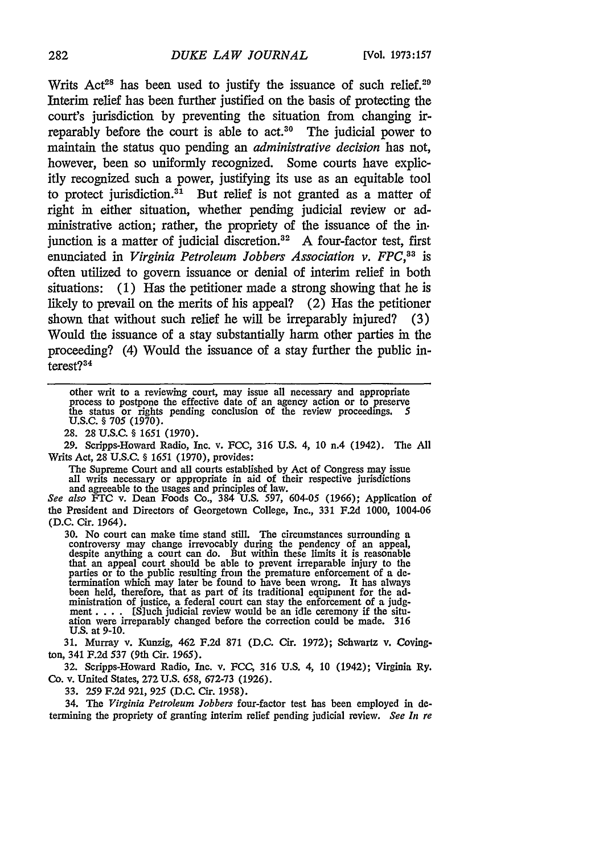Writs Act<sup>28</sup> has been used to justify the issuance of such relief.<sup>20</sup> Interim relief has been further justified on the basis of protecting the court's jurisdiction by preventing the situation from changing irreparably before the court is able to act.<sup>30</sup> The judicial power to maintain the status quo pending an *administrative decision* has not, however, been so uniformly recognized. Some courts have explicitly recognized such a power, justifying its use as an equitable tool to protect jurisdiction.<sup>31</sup> But relief is not granted as a matter of right in either situation, whether pending judicial review or administrative action; rather, the propriety of the issuance of the in. junction is a matter of judicial discretion.<sup>32</sup> A four-factor test, first enunciated in *Virginia Petroleum Jobbers Association v. FPC*,<sup>33</sup> is often utilized to govern issuance or denial of interim relief in both situations: (1) Has the petitioner made a strong showing that he is likely to prevail on the merits of his appeal? (2) Has the petitioner shown that without such relief he will be irreparably injured? (3) Would the issuance of a stay substantially harm other parties in the proceeding? (4) Would the issuance of a stay further the public interest?<sup>34</sup>

other writ to a reviewing court, may issue all necessary and appropriate process to postpone the effective date of an agency action or to preserve the status or rights pending conclusion of the review proceedings. 5 U.S.C. § 705 (1970).

28. 28 U.S.C. § 1651 (1970).

29. Scripps-Howard Radio, Inc. v. FCC, 316 U.S. 4, 10 n.4 (1942). Tie All Writs Act, 28 U.S.C. § 1651 (1970), provides:

The Supreme Court and all courts established by Act of Congress may issue all writs necessary or appropriate in aid of their respective jurisdictions and agreeable to the usages and principles of law.

*See also* **FTC** v. Dean Foods Co., 384 U.S. 597, 604-05 (1966); Application of the President and Directors of Georgetown College, Inc., 331 F.2d 1000, 1004-06 (D.C. Cir. 1964).

30. No court can make time stand still. The circumstances surrounding a controversy may change irrevocably during the pendency of an appeal, despite anything a court can do. But within these limits it is reasonable that an appeal court should be able to prevent irreparable injury to the parties or to the public resulting from the premature enforcement of a determination which may later be found to have been wrong. It has always been held, therefore, that as part of its traditional equipment for the administration of justice, a federal court can stay the enforcement of a judg-<br>ment.... [S]uch judicial review would be an idle ceremony if the situation were irreparably changed before the correction could be made. 316 **U.S.** at 9-10.

**31.** Murray v. Kunzig, 462 **F.2d** 871 **(D.C.** Cir. 1972); Schwartz v. Covington, 341 F.2d 537 (9th Cir. 1965).

32. Scripps-Howard Radio, Inc. v. **FCC,** 316 U.S. 4, **10** (1942); Virginia Ry. Co. v. United States, 272 U.S. 658, 672-73 (1926).

33. 259 F.2d 921, **925** (D.C. Cir. 1958).

34. The *Virginia Petroleum Jobbers* four-factor test has been employed in **de**termining the propriety of granting interim relief pending judicial review. *See In re*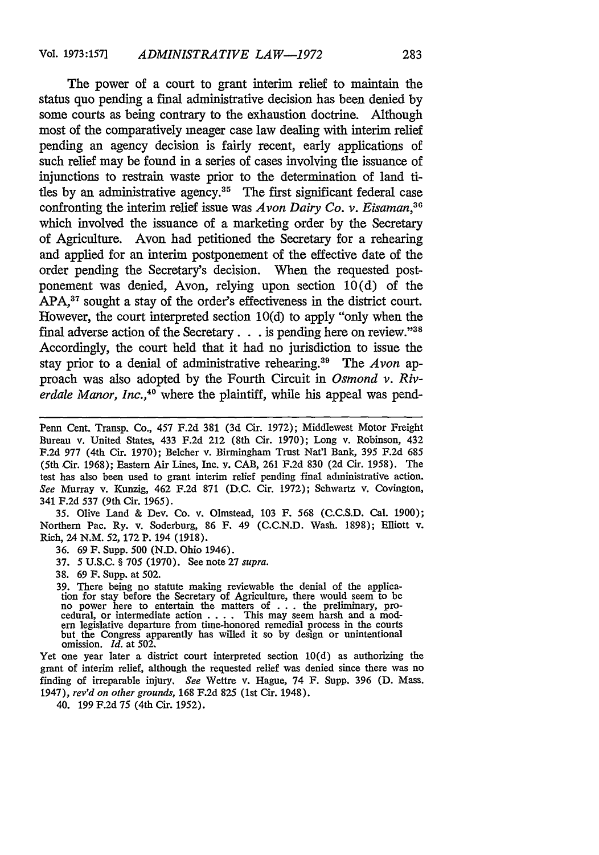The power of a court to grant interim relief to maintain the status quo pending a final administrative decision has been denied by some courts as being contrary to the exhaustion doctrine. Although most of the comparatively meager case law dealing with interim relief pending an agency decision is fairly recent, early applications of such relief may be found in a series of cases involving the issuance of injunctions to restrain waste prior to the determination of land titles by an administrative agency.<sup>35</sup> The first significant federal case confronting the interim relief issue was *Avon Dairy Co. v. Eisaman <sup>6</sup>* which involved the issuance of a marketing order by the Secretary of Agriculture. Avon had petitioned the Secretary for a rehearing and applied for an interim postponement of the effective date of the order pending the Secretary's decision. When the requested postponement was denied, Avon, relying upon section 10(d) of the APA,<sup>37</sup> sought a stay of the order's effectiveness in the district court. However, the court interpreted section 10(d) to apply "only when the final adverse action of the Secretary . . . is pending here on review."<sup>38</sup> Accordingly, the court held that it had no jurisdiction to issue the stay prior to a denial of administrative rehearing.39 The *Avon* approach was also adopted by the Fourth Circuit in *Osmond v. Riv*erdale Manor, Inc.,<sup>40</sup> where the plaintiff, while his appeal was pend-

35. Olive Land & Dev. Co. v. Olmstead, 103 F. 568 (C.C.S.D. Cal. 1900); Northern Pac. Ry. v. Soderburg, 86 F. 49 (C.C.N.D. Wash. 1898); Elliott v. Rich, 24 N.M. *52,* 172 P. 194 (1918).

- 36. 69 F. Supp. 500 (N.D. Ohio 1946).
- 37. 5 U.S.C. § 705 (1970). See note 27 *supra.*
- 38. 69 F. Supp. at 502.

39. There being no statute making reviewable the denial of the applica-tion for stay before the Secretary of Agriculture, there would seem to be no power here to entertain the matters of .**.** . the preliminary, procedural, or intermediate action .**. .** . This may seem harsh and a modem legislative departure from time-honored remedial process in the courts but the Congress apparently has willed it so by design or unintentional omission. *Id.* at 502.

Yet one year later a district court interpreted section 10(d) as authorizing the grant of interim relief, although the requested relief was denied since there was no finding of irreparable injury. *See* Wettre v. Hague, 74 F. Supp. 396 **(D.** Mass. 1947), *rev'd on other grounds,* 168 F.2d 825 (1st Cir. 1948).

40. 199 F.2d 75 (4th Cir. 1952).

Penn Cent. Transp. Co., 457 F.2d 381 (3d Cir. 1972); Middlewest Motor Freight Bureau v. United States, 433 F.2d 212 (8th Cir. 1970); Long v. Robinson, 432 F.2d 977 (4th Cir. 1970); Belcher v. Birmingham Trust Nat'l Bank, 395 F.2d 685 (5th Cir. 1968); Eastern Air Lines, Inc. v. CAB, 261 F.2d 830 (2d Cir. 1958). The test has also been used to grant interim relief pending final administrative action. *See* Murray v. Kunzig, 462 F.2d 871 (D.C. Cir. 1972); Schwartz v. Covington, 341 F.2d 537 (9th Cir. 1965).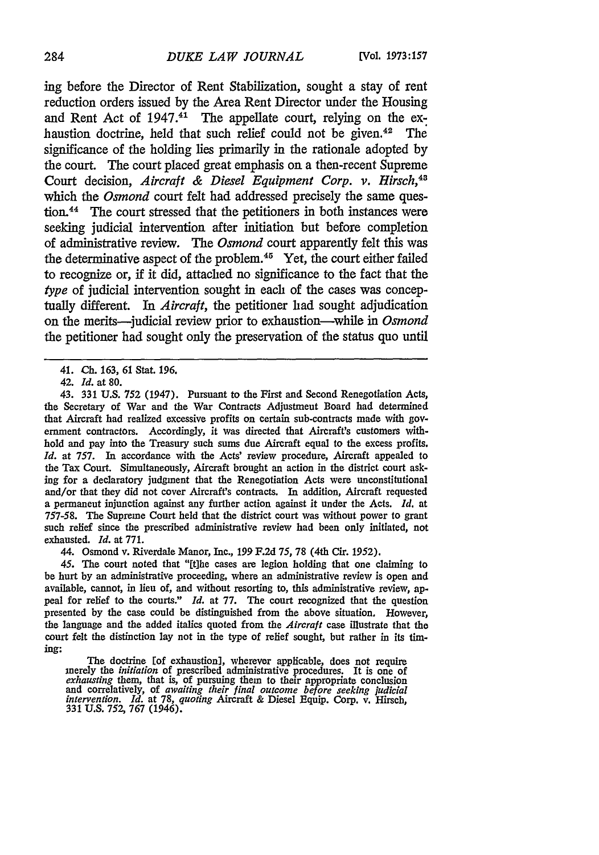ing before the Director of Rent Stabilization, sought a stay of rent reduction orders issued **by** the Area Rent Director under the Housing and Rent Act of  $1947 \cdot$ <sup>41</sup> The appellate court, relying on the exhaustion doctrine, held that such relief could not be given.<sup>42</sup> The significance of the holding lies primarily in the rationale adopted **by** the court. The court placed great emphasis on a then-recent Supreme Court decision, *Aircraft & Diesel Equipment Corp. v. Hirsch,43* which the *Osmond* court felt had addressed precisely the same question.<sup>44</sup> The court stressed that the petitioners in both instances were seeking judicial intervention after initiation but before completion of administrative review. The *Osmond* court apparently felt this was the determinative aspect of the problem.45 Yet, the court either **failed** to recognize or, if it did, attached no significance to the fact that the *type* of judicial intervention sought in each of the cases was conceptually different. In *Aircraft,* the petitioner had sought adjudication on the merits-judicial review prior to exhaustion-while in *Osmond* the petitioner had sought only the preservation of the status quo until

43. **331** U.S. 752 (1947). Pursuant to the First and Second Renegotiation Acts, the Secretary of War and the War Contracts Adjustment Board had determined that Aircraft had realized excessive profits on certain sub-contracts made with government contractors. Accordingly, it was directed that Aircraft's customers withhold and pay into the Treasury such sums due Aircraft equal to the excess profits. *Id.* at 757. In accordance with the Acts' review procedure, Aircraft appealed to the Tax Court. Simultaneously, Aircraft brought an action in the district court asking for a declaratory judgment that the Renegotiation Acts were unconstitutional and/or that they did not cover Aircraft's contracts. In addition, Aircraft requested a permanent injunction against any further action against it under the Acts. *Id.* at 757-58. The Supreme Court held that the district court was without power to grant such relief since the prescribed administrative review had been only initiated, not exhausted. *Id.* at 771.

44. Osmond v. Riverdale Manor, Inc., 199 F.2d 75, 78 (4th Cir. 1952).

45. The court noted that "[tihe cases are legion holding that one claiming to be hurt by an administrative proceeding, where an administrative review is open and available, cannot, in lieu of, and without resorting to, this administrative review, **ap**peal for relief to the courts." *Id.* at 77. The court recognized that the question presented by the case could be distinguished from the above situation. However, the language and the added italics quoted from the *Aircraft* case illustrate that the court felt the distinction lay not in the type of relief sought, but rather in its timing:

The doctrine [of exhaustion], wherever applicable, does not require merely the *initiation* of prescribed administrative procedures. It is one of exhausting them, that is, of pursuing them to their appropriate conclusion<br>and correlatively, of awaiting their final outcome before seeking judicial<br>intervention. Id. at 78, quoting Aircraft & Diesel Equip. Corp. v. Hirsc

<sup>41.</sup> *Ch.* 163, 61 Stat. **196.**

<sup>42.</sup> *Id.* at **80.**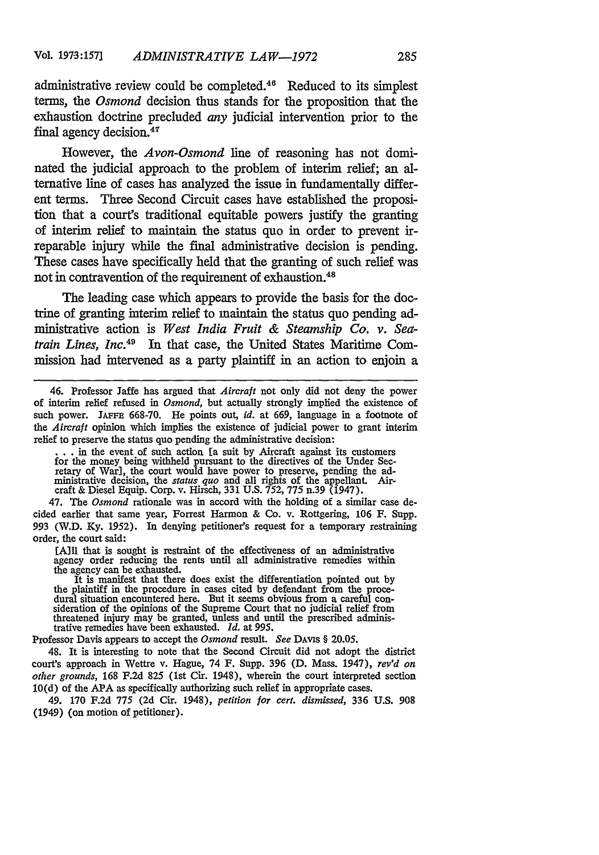administrative review could be completed.46 Reduced to its simplest terms, the *Osmond* decision thus stands for the proposition that the exhaustion doctrine precluded *any* judicial intervention prior to the final agency decision.<sup>47</sup>

However, the *Avon-Osmond* line of reasoning has not dominated the judicial approach to the problem of interim relief; an alternative line of cases has analyzed the issue in fundamentally different terms. Three Second Circuit cases have established the proposition that a court's traditional equitable powers justify the granting of interim relief to maintain the status quo in order to prevent irreparable injury while the final administrative decision is pending. These cases have specifically held that the granting of such relief was not in contravention of the requirement of exhaustion.<sup>48</sup>

The leading case which appears to provide the basis for the doctrine of granting interim relief to maintain the status quo pending administrative action is *West India Fruit & Steamship Co. v. Seatrain Lines, Inc.49* In that case, the United States Maritime Commission had intervened as a party plaintiff in an action to enjoin a

46. Professor Jaffe has argued that *Aircraft* not only did not deny the power of interim relief refused in *Osmond,* but actually strongly implied the existence of such power. **JAFFE** 668-70. He points out, *id.* at 669, language in a footnote of *the Aircraft* opinion which implies the existence of judicial power to grant interim relief to preserve the status quo pending the administrative decision:

... in the event of such action [a suit by Aircraft against its customers for the money being withheld pursuant to the directives of the Under Secretary of War], the court would have power to preserve, pending the ad- ministrative decision, the *status quo* and all rights of the appellant. Aircraft & Diesel Equip. Corp. v. Hirsch, 331 U.S. 752, 775 n.39 (1947).

47. The *Osmond* rationale was in accord with the holding of a similar case decided earlier that same year, Forrest Harmon & Co. v. Rottgering, 106 F. Supp. 993 (W.D. Ky. 1952). In denying petitioner's request for a temporary restraining order, the court said:

[A] I that is sought is restraint of the effectiveness of an administrative agency order reducing the rents until all administrative remedies within the agency can be exhausted.<br>It is manifest that there does exist the differentiation pointed out by

It is manifest that there does exist the differentiation pointed out by the plaintiff in the procedure in cases cited by defendant from the procedural situation encountered here. But it seems obvious from a careful con-<br>sideration of the opinions of the Supreme Court that no judicial relief from threatened injury may be granted, unless and until the prescribed administrative remedies have been exhausted. *Id.* at 995.

Professor Davis appears to accept the *Osmond* result. *See* DAvis § 20.05.

48. It is interesting to note that the Second Circuit did not adopt the district court's approach in Wettre v. Hague, 74 F. Supp. 396 **(D.** Mass. 1947), *rev'd on other grounds,* 168 F.2d 825 (1st Cir. 1948), wherein the court interpreted section **10(d)** of the APA as specifically authorizing such relief in appropriate cases.

49. 170 F.2d 775 (2d Cir. 1948), *petition for cert. dismissed,* 336 U.S. 908 (1949) (on motion of petitioner).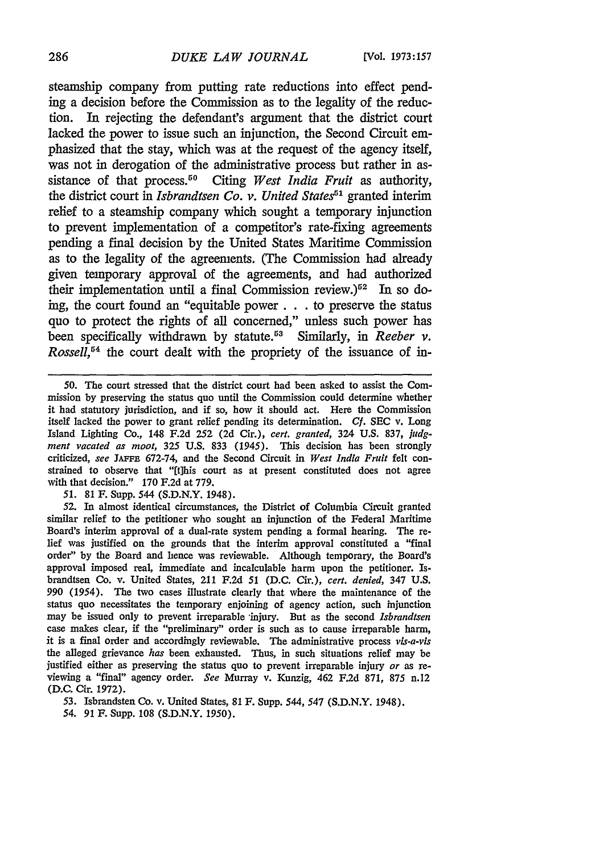steamship company from putting rate reductions into effect pending a decision before the Commission as to the legality of the reduction. In rejecting the defendant's argument that the district court lacked the power to issue such an injunction, the Second Circuit emphasized that the stay, which was at the request of the agency itself, was not in derogation of the administrative process but rather in assistance of that process.<sup>50</sup> Citing *West India Fruit* as authority, the district court in *Isbrandtsen Co. v. United States*<sup>51</sup> granted interim relief to a steamship company which sought a temporary injunction to prevent implementation of a competitor's rate-fixing agreements pending a final decision by the United States Maritime Commission as to the legality of the agreements. (The Commission had already given temporary approval of the agreements, and had authorized their implementation until a final Commission review.)<sup>52</sup> In so doing, the court found an "equitable power. **. .** to preserve the status quo to protect the rights of all concerned," unless such power has been specifically withdrawn by statute.<sup>53</sup> Similarly, in *Reeber v*. *Rossell,54* the court dealt with the propriety of the issuance of in-

*51.* 81 F. Supp. 544 (S.D.N.Y. 1948).

52. In almost identical circumstances, the District of Columbia Circuit granted similar relief to the petitioner who sought an injunction of the Federal Maritime Board's interim approval of a dual-rate system pending a formal hearing. The relief was justified on the grounds that the interim approval constituted a "final order" by the Board and hence was reviewable. Although temporary, the Board's approval imposed real, immediate and incalculable harm upon the petitioner. Isbrandtsen Co. v. United States, 211 F.2d 51 (D.C. Cir.), *cert. denied,* 347 U.S. 990 *(1954).* The two cases illustrate clearly that where the maintenance of the status quo necessitates the temporary enjoining of agency action, such injunction may be issued only to prevent irreparable -injury. But as the second *Isbrandtsen* case makes clear, if the "preliminary" order is such as to cause irreparable harm, it is a final order and accordingly reviewable. The administrative process *vis-a-vis* the alleged grievance *has* been exhausted. Thus, in such situations relief may be justified either as preserving the status quo to prevent irreparable injury *or* as reviewing a "final" agency order. *See* Murray v. Kunzig, 462 F.2d 871, 875 n.12 (D.C. Cir. 1972).

<sup>50.</sup> The court stressed that the district court had been asked to assist the Commission by preserving the status quo until the Commission could determine whether it had statutory jurisdiction, and if so, how it should act. Here the Commission itself lacked the power to grant relief pending its determination. *Cf.* SEC v. Long Island Lighting Co., 148 F.2d 252 (2d Cir.), *cert. granted,* 324 U.S. 837, *judgment vacated as moot,* 325 U.S. 833 (1945). This decision has been strongly criticized, *see* **JAFFE** 672-74, and the Second Circuit in *West India Fruit* felt constrained to observe that "[t]his court as at present constituted does not agree with that decision." 170 F.2d at 779.

<sup>53.</sup> Isbrandsten Co. v. United States, 81 F. Supp. 544, 547 (S.D.N.Y. 1948). *54.* 91 F. Supp. 108 (S.D.N.Y. 1950).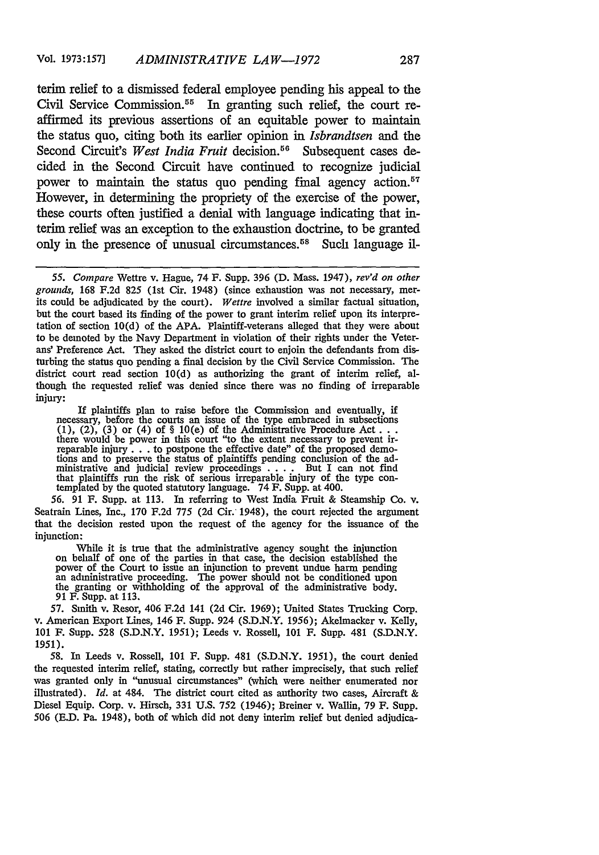terim relief to a dismissed federal employee pending his appeal to the Civil Service Commission. 55 In granting such relief, the court reaffirmed its previous assertions of an equitable power to maintain the status quo, citing both its earlier opinion in *Isbrandtsen* and the Second Circuit's West India Fruit decision.<sup>56</sup> Subsequent cases decided in the Second Circuit have continued to recognize judicial power to maintain the status quo pending final agency action. $57$ However, in determining the propriety of the exercise of the power, these courts often justified a denial with language indicating that interim relief was an exception to the exhaustion doctrine, to be granted only in the presence of unusual circumstances.<sup>58</sup> Such language il-

*55. Compare* Wettre v. Hague, 74 F. Supp. 396 **(D.** Mass. 1947), *rev'd on other* grounds, 168 F.2d 825 (1st Cir. 1948) (since exhaustion was not necessary, mer- its could be adjudicated by the court). *Wettre* involved a similar factual situation, but the court based its finding of the power to grant interim relief upon its interpretation of section 10(d) of the APA. Plaintiff-veterans alleged that they were about to be demoted by the Navy Department in violation of their rights under the Veterans' Preference Act. They asked the district court to enjoin the defendants from disturbing the status quo pending a final decision by the Civil Service Commission. The district court read section 10(d) as authorizing the grant of interim relief, although the requested relief was denied since there was no finding of irreparable injury:

If plaintiffs plan to raise before the Commission and eventually, if<br>necessary, before the courts an issue of the type embraced in subsections<br> $(1)$ ,  $(2)$ ,  $(3)$  or  $(4)$  of  $§$   $10(e)$  of the Administrative Procedure Act ministrative and judicial review proceedings  $\dots$  But I can not find that plaintiffs run the risk of serious irreparable injury of the type contemplated by the quoted statutory language.  $74$  F. Supp. at 400.

*56.* 91 F. Supp. at 113. In referring to West India Fruit & Steamship Co. v. Seatrain Lines, Inc., 170 F.2d 775 (2d Cir. 1948), the court rejected the argument that the decision rested upon the request of the agency for the issuance of the injunction:

While it is true that the administrative agency sought the injunction on behalf of one of the parties in that case, the decision established the power of the Court to issue an injunction to prevent undue harm pending an administrative proceeding. The power should not be conditioned upon the granting or withholding of the approval of the administrative body. 91 F. Supp. at 113.

57. Smith v. Resor, 406 F.2d 141 (2d Cir. 1969); United States Trucking Corp. v. American Export Lines, 146 F. Supp. 924 (S.D.N.Y. 1956); Akelmacker v. Kelly, 101 F. Supp. 528 (S.D.N.Y. 1951); Leeds v. Rossell, 101 F. Supp. 481 (S.D.N.Y. 1951).

58. In Leeds v. Rossell, **101** F. Supp. 481 (S.D.N.Y. 1951), the court denied the requested interim relief, stating, correctly but rather imprecisely, that such relief was granted only in "unusual circumstances" (which were neither enumerated nor illustrated). *Id.* at 484. The district court cited as authority two cases, Aircraft & Diesel Equip. Corp. v. Hirsch, 331 U.S. 752 (1946); Breiner v. Wallin, 79 F. Supp. 506 (E.D. Pa. 1948), both of which did not deny interim relief but denied adjudica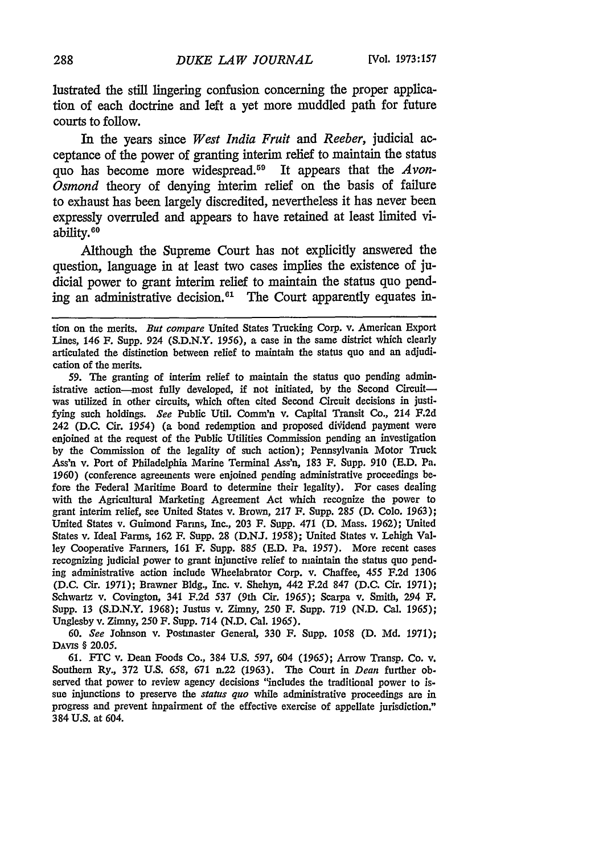lustrated the still lingering confusion concerning the proper application of each doctrine and left a yet more muddled path for future courts to follow.

In the years since *West India Fruit and Reeber,* judicial acceptance of the power of granting interim relief to maintain the status quo has become more widespread. 59 It appears that the *Avon-Osmond* theory of denying interim relief on the basis of failure to exhaust has been largely discredited, nevertheless it has never been expressly overruled and appears to have retained at least limited viability.<sup>60</sup>

Although the Supreme Court has not explicitly answered the question, language in at least two cases implies the existence of judicial power to grant interim relief to maintain the status quo pending an administrative decision.<sup>61</sup> The Court apparently equates in-

**59.** The granting of interim relief to maintain the status quo pending administrative action-most fully developed, if not initiated, by the Second Circuitwas utilized in other circuits, which often cited Second Circuit decisions in justifying such holdings. *See* Public Util. Comm'n v. Capital Transit Co., 214 **F.2d** 242 (D.C. Cir. 1954) (a bond redemption and proposed dividend payment were enjoined at the request of the Public Utilities Commission pending an investigation by the Commission of the legality of such action); Pennsylvania Motor Truck Ass'n v. Port of Philadelphia Marine Terminal Ass'n, **183** F. Supp. 910 (E.D. Pa. 1960) (conference agreements were enjoined pending administrative proceedings before the Federal Maritime Board to determine their legality). For cases dealing with the Agricultural Marketing Agreement Act which recognize the power to grant interim relief, see United States v. Brown, 217 F. Supp. **285** (D. Colo. 1963); United States v. Guimond Farms, Inc., **203** F. Supp. 471 **(D.** Mass. 1962); United States v. Ideal Farms, 162 F. Supp. 28 (D.NJ. 1958); United States v. Lehigh Valley Cooperative Farmers, 161 F. Supp. 885 (E.D. Pa. 1957). More recent cases recognizing judicial power to grant injunctive relief to maintain the status quo pending administrative action include Wheelabrator Corp. v. Chaffee, 455 **F.2d** 1306 (D.C. Cir. 1971); Brawner Bldg., Inc. v. Shehyn, 442 F.2d 847 (D.C. Cir. **1971);** Schwartz v. Covington, 341 F.2d **537** (9th Cir. 1965); Scarpa v. Smith, 294 **F.** Supp. 13 (S.D.N.Y. 1968); Justus v. Zimny, 250 F. Supp. **719** (N.D. Cal. *1965);* Unglesby v. Zimny, 250 F. Supp. 714 (N.D. Cal. 1965).

60. *See* Johnson v. Postmaster General, 330 F. Supp. 1058 (D. Md. 1971); DAvis § 20.05.

61. FTC v. Dean Foods Co., 384 U.S. 597, 604 *(1965);* Arrow Transp. Co. v. Southern Ry., **372 U.S. 658, 671** n.22 **(1963).** The Court in *Dean* further ob. served that power to review agency decisions "includes the traditional power to issue injunctions to preserve the *status quo* while administrative proceedings are in progress and prevent impairment of the effective exercise of appellate jurisdiction." 384 **U.S.** at 604.

tion on the merits. *But compare* United States Trucking Corp. **v.** American Export Lines, 146 F. Supp. 924 (S.D.N.Y. 1956), a case in the same district which clearly articulated the distinction between relief to maintain the status quo and an adjudication of the merits.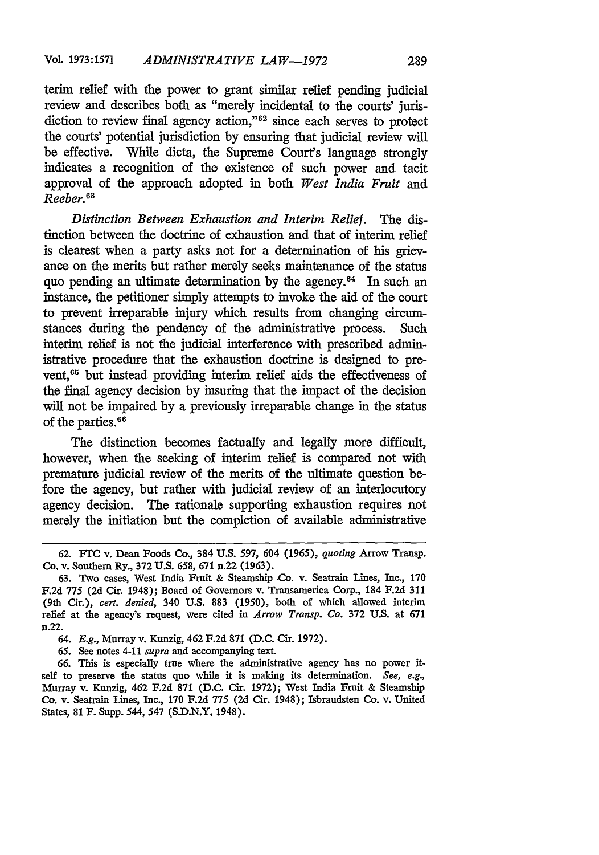terim relief with the power to grant similar relief pending judicial review and describes both as "merely incidental to the courts' jurisdiction to review final agency action,"<sup>62</sup> since each serves to protect the courts' potential jurisdiction **by** ensuring that judicial review will be effective. **While** dicta, the Supreme Court's language strongly indicates a recognition of the existence of such power and tacit approval of the approach adopted in both *West India Fruit* and *Reeber.63*

*Distinction Between Exhaustion and Interim Relief.* The distinction between the doctrine of exhaustion and that of interim relief is clearest when a party asks not for a determination of his grievance on the merits but rather merely seeks maintenance of the status quo pending an ultimate determination **by** the agency. 64 In such an instance, the petitioner simply attempts to invoke the aid of the court to prevent irreparable injury which results from changing circumstances during the pendency of the administrative process. Such interim relief is not the judicial interference with prescribed administrative procedure that the exhaustion doctrine is designed to prevent,<sup>65</sup> but instead providing interim relief aids the effectiveness of the final agency decision **by** insuring that the impact of the decision will not be impaired **by** a previously irreparable change in the status of the parties.<sup>66</sup>

The distinction becomes factually and legally more difficult, however, when the seeking of interim relief is compared not with premature judicial review of the merits of the ultimate question before the agency, but rather with judicial review of an interlocutory agency decision. The rationale supporting exhaustion requires not merely the initiation but the completion of available administrative

**65.** See notes 4-11 *supra* and accompanying text.

**<sup>62.</sup>** FTC v. Dean Foods Co., 384 **U.S. 597,** 604 *(1965), quoting* Arrow Transp. Co. v. Southern Ry., **372 U.S. 658, 671** n.22 **(1963).**

**<sup>63.</sup>** Two cases, West India Fruit **&** Steamship Co. v. Seatrain Lines, Inc., **170 F.2d 775 (2d** Cir. 1948); Board of Governors v. Transamerica Corp., 184 **F.2d 311** (9th Cir.), *cert. denied,* 340 **U.S. 883 (1950),** both of which allowed interim relief at the agency's request, were cited in *Arrow Transp. Co.* **372 U.S.** at **671** n.22.

**<sup>64.</sup>** *E.g.,* Murray v. Kunzig, 462 **F.2d 871 (D.C.** Cir. **1972).**

**<sup>66.</sup>** This is especially true where the administrative agency has no power itself to preserve the status quo while it is making its determination. *See, e.g.,* Murray v. Kunzig, 462 **F.2d 871 (D.C.** Cir. **1972);** West India Fruit **&** Steamship **Co.** v. Seatrain Lines, Inc., **170 F.2d 775 (2d** Cir. 1948); Isbrandsten Co. v. United States, **81 F.** Supp. 544, 547 **(S.D.N.Y,** 1948).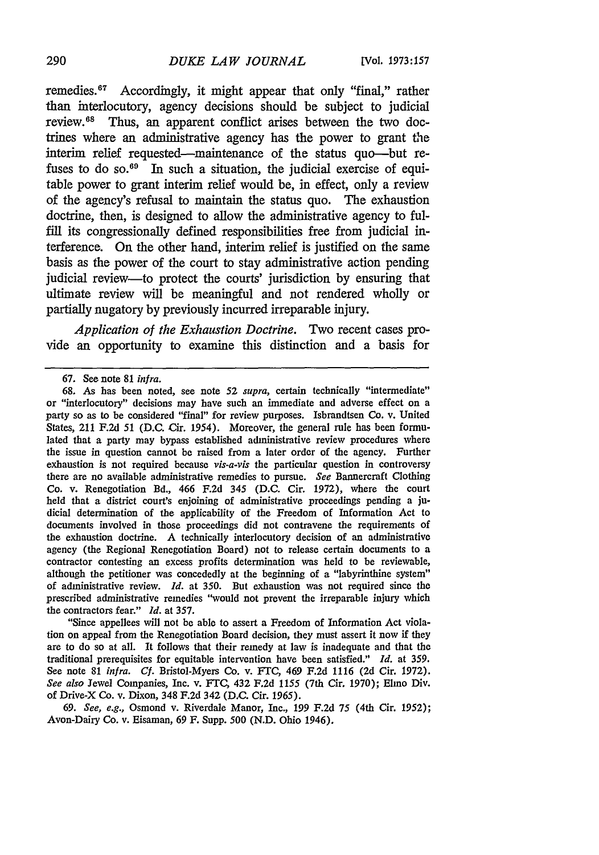remedies.67 Accordingly, it might appear that only "final," rather than interlocutory, agency decisions should be subject to judicial review. 68 Thus, an apparent conflict arises between the two doctrines where an administrative agency has the power to grant the interim relief requested-maintenance of the status quo-but refuses to do so. $69$  In such a situation, the judicial exercise of equitable power to grant interim relief would be, in effect, only a review of the agency's refusal to maintain the status quo. The exhaustion doctrine, then, is designed to allow the administrative agency to fulfill its congressionally defined responsibilities free from judicial interference. On the other hand, interim relief is justified on the same basis as the power of the court to stay administrative action pending judicial review-to protect the courts' jurisdiction by ensuring that ultimate review will be meaningful and not rendered wholly or partially nugatory by previously incurred irreparable injury.

*Application of the Exhaustion Doctrine.* Two recent cases provide an opportunity to examine this distinction and a basis for

"Since appellees will not be able to assert a Freedom of Information Act violation on appeal from the Renegotiation Board decision, they must assert it now if they are to do so at all. It follows that their remedy at law is inadequate and that the traditional prerequisites for equitable intervention have been satisfied." *Id.* at 359. See note 81 *infra. Cf.* Bristol-Myers Co. v. FrC, 469 F.2d 1116 (2d Cir. 1972). *See also* Jewel Companies, Inc. v. FTC, 432 F.2d 1155 (7th Cir. 1970); Elmo Div. of Drive-X Co. v. Dixon, 348 F.2d 342 (D.C. Cir. *1965).*

69. *See, e.g.,* Osmond v. Riverdale Manor, Inc., 199 F.2d 75 (4th Cir. 1952); Avon-Dairy Co. v. Eisaman, 69 F. Supp. 500 (N.D. Ohio 1946).

**<sup>67.</sup>** See note **81** infra.

**<sup>68.</sup>** As has been noted, see note 52 *supra,* certain technically "intermediate" or "interlocutory" decisions may have such an immediate and adverse effect on a party so as to be considered "final" for review purposes. Isbrandtsen Co. v. United States, 211 F.2d 51 (D.C. Cir. 1954). Moreover, the general rule has been formulated that a party may bypass established administrative review procedures where the issue in question cannot be raised from a later order of the agency. Further exhaustion is not required because *vis-a-vis* the particular question in controversy there are no available administrative remedies to pursue. *See* Bannercraft Clothing Co. v. Renegotiation Bd., 466 F.2d 345 (D.C. Cir. 1972), where the court held that a district court's enjoining of administrative proceedings pending a judicial determination of the applicability of the Freedom of Information Act to documents involved in those proceedings did not contravene the requirements of the exhaustion doctrine. A technically interlocutory decision of an administrative agency (the Regional Renegotiation Board) not to release certain documents to a contractor contesting an excess profits determination was held to be reviewable, although the petitioner was concededly at the beginning of a "labyrinthine system" of administrative review. *Id.* at 350. But exhaustion was not required since the prescribed administrative remedies "would not prevent the irreparable injury which the contractors fear." *Id.* at 357.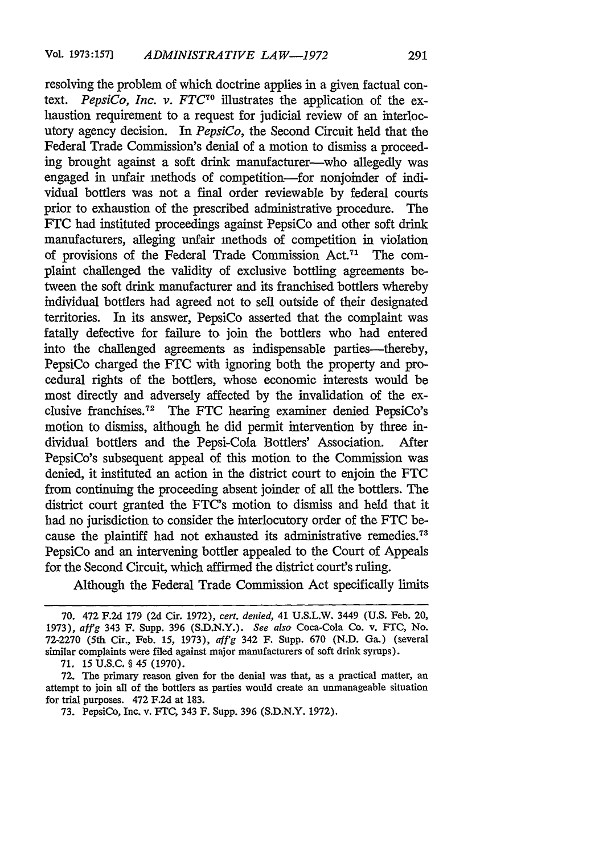resolving the problem of which doctrine applies in a given factual context. *PepsiCo, Inc. v. FTC<sup>70</sup>*illustrates the application of the exhaustion requirement to a request for judicial review of an interlocutory agency decision. In *PepsiCo,* the Second Circuit held that the Federal Trade Commission's denial of a motion to dismiss a proceeding brought against a soft drink manufacturer-who allegedly was engaged in unfair methods of competition-for nonjoinder of individual bottlers was not a final order reviewable by federal courts prior to exhaustion of the prescribed administrative procedure. The FTC had instituted proceedings against PepsiCo and other soft drink manufacturers, alleging unfair methods of competition in violation of provisions of the Federal Trade Commission Act.<sup>71</sup> The complaint challenged the validity of exclusive bottling agreements between the soft drink manufacturer and its franchised bottlers whereby individual bottlers had agreed not to sell outside of their designated territories. In its answer, PepsiCo asserted that the complaint was fatally defective for failure to join the bottlers who had entered into the challenged agreements as indispensable parties-thereby, PepsiCo charged the FTC with ignoring both the property and procedural rights of the bottlers, whose economic interests would be most directly and adversely affected by the invalidation of the exclusive franchises.<sup>72</sup> The FTC hearing examiner denied PepsiCo's motion to dismiss, although he did permit intervention by three individual bottlers and the Pepsi-Cola Bottlers' Association. After PepsiCo's subsequent appeal of this motion to the Commission was denied, it instituted an action in the district court to enjoin the FTC from continuing the proceeding absent joinder of all the bottlers. The district court granted the FTC's motion to dismiss and held that it had no jurisdiction to consider the interlocutory order of the FTC because the plaintiff had not exhausted its administrative remedies. <sup>73</sup> PepsiCo and an intervening bottler appealed to the Court of Appeals for the Second Circuit, which affirmed the district court's ruling.

Although the Federal Trade Commission Act specifically limits

<sup>70. 472</sup> F.2d 179 (2d Cir. 1972), *cert. denied,* 41 U.S.L.W. 3449 (U.S. Feb. 20, **1973),** *affg* 343 F. Supp. 396 (S.D.N.Y.). *See also* Coca-Cola Co. v. **FTC,** No. 72-2270 (5th Cir., Feb. 15, **1973),** *a!f'g* 342 F. Supp. 670 (N.D. Ga.) (several similar complaints were filed against major manufacturers of soft drink syrups).

<sup>71. 15</sup> U.S.C. § 45 (1970).

<sup>72.</sup> The primary reason given for the denial was that, as a practical matter, an attempt to join all of the bottlers as parties would create an unmanageable situation for trial purposes. 472 F.2d at 183.

<sup>73.</sup> PepsiCo, Inc. v. FTC, 343 F. Supp. 396 (S.D.N.Y. 1972).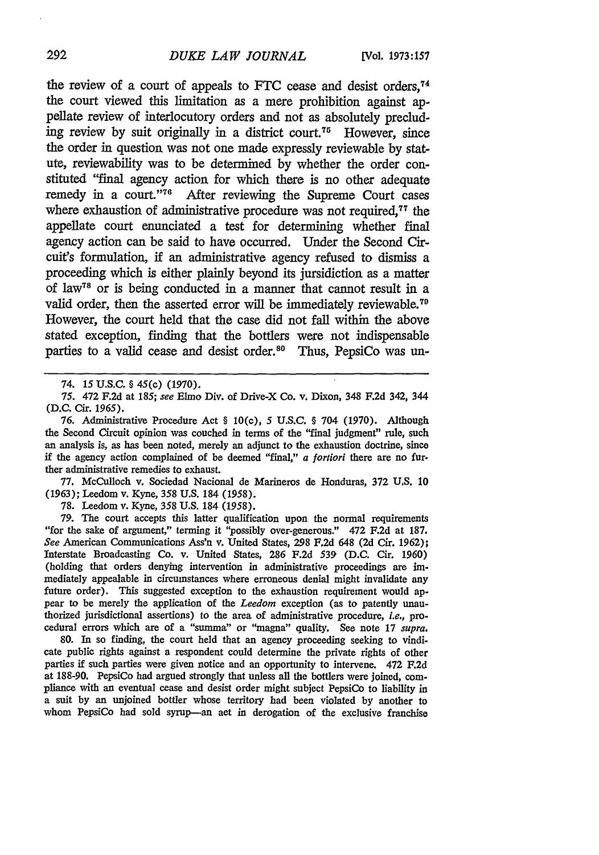the review of a court of appeals to FTC cease and desist orders,<sup>74</sup> the court viewed this limitation as a mere prohibition against appellate review of interlocutory orders and not as absolutely precluding review by suit originally in a district court.75 However, since the order in question was not one made expressly reviewable by statute, reviewability was to be determined by whether the order constituted "final agency action for which there is no other adequate remedy in a court."<sup>76</sup> After reviewing the Supreme Court cases where exhaustion of administrative procedure was not required.<sup>77</sup> the appellate court enunciated a test for determining whether final agency action can be said to have occurred. Under the Second Circuit's formulation, if an administrative agency refused to dismiss a proceeding which is either plainly beyond its jursidiction as a matter of law78 or is being conducted in a manner that cannot result in a valid order, then the asserted error will be immediately reviewable.<sup>7</sup> However, the court held that the case did not fall within the above stated exception, finding that the bottlers were not indispensable parties to a valid cease and desist order.<sup>80</sup> Thus, PepsiCo was un-

76. Administrative Procedure Act § 10(c), 5 U.S.C. § 704 (1970). Although the Second Circuit opinion was couched in terms of the "final judgment" rule, such an analysis is, as has been noted, merely an adjunct to the exhaustion doctrine, since if the agency action complained of be deemed "final," *a* fortiori there are no further administrative remedies to exhaust.

77. McCulloch v. Sociedad Nacional de Marineros de Honduras, 372 U.S. 10 (1963); Leedom v. Kyne, 358 U.S. 184 *(1958).*

**78.** Leedom v. Kyne, 358 **U.S.** 184 *(1958).*

79. The court accepts this latter qualification upon the normal requirements "for the sake of argument," terming it "possibly over-generous." 472 F.2d at 187. *See* American Communications Ass'n v. United States, 298 **F.2d** 648 (2d Cir. **1962);** Interstate Broadcasting Co. v. United States, 286 F.2d 539 **(D.C.** Cir. 1960) (holding that orders denying intervention in administrative proceedings are im. mediately appealable in circumstances where erroneous denial might invalidate any future order). This suggested exception to the exhaustion requirement would appear to be merely the application of the *Leedom* exception (as to patently unauthorized jurisdictional assertions) to the area of administrative procedure, *i.e.,* procedural errors which are of a "summa" or "magna" quality. See note 17 *supra.*

**80. In** so finding, the court held that an agency proceeding seeking to vindicate public rights against a respondent could determine the private rights of other parties if such parties were given notice and an opportunity to intervene. 472 **F.2d** at **188-90.** PepsiCo had argued strongly that unless all the bottlers were joined, compliance with an eventual cease and desist order might subject PepsiCo to liability in a suit by an unjoined bottler whose territory had been violated by another to whom PepsiCo had sold syrup-an aet in derogation of the exclusive franchise

<sup>74. 15</sup> U.S.C. **§** 45(c) **(1970).**

*<sup>75.</sup>* 472 F.2d at 185; *see* Elmo Div. of Drive-X Co. v. Dixon, 348 F.2d 342, 344 (D.C. Cir. 1965).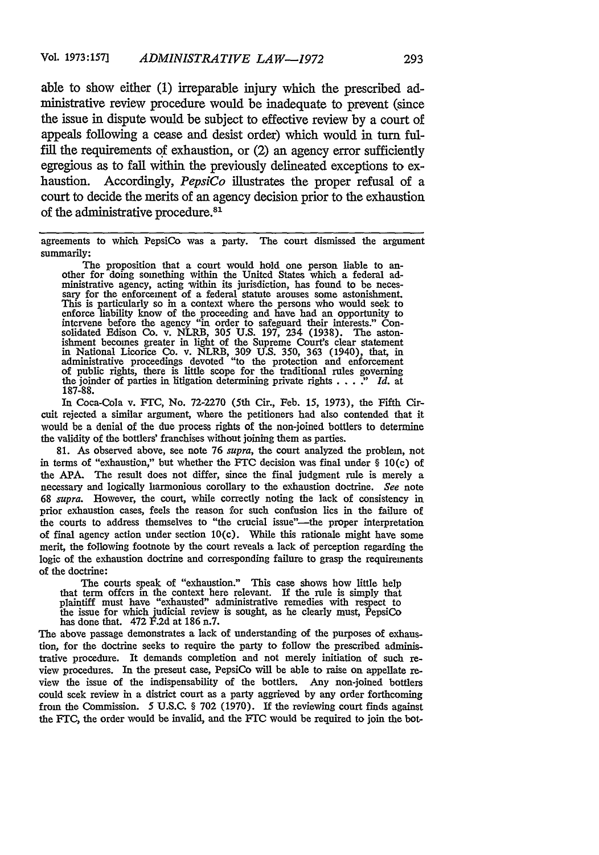able to show either (1) irreparable injury which the prescribed administrative review procedure would be inadequate to prevent (since the issue in dispute would be subject to effective review by a court of appeals following a cease and desist order) which would in turn fulfill the requirements of exhaustion, or (2) an agency error sufficiently egregious as to fall within the previously delineated exceptions to exhaustion. Accordingly, *PepsiCo* illustrates the proper refusal of a court to decide the merits of an agency decision prior to the exhaustion of the administrative procedure.<sup>81</sup>

agreements to which PepsiCo was a party. The court dismissed the argument summarily:

The proposition that a court would hold one person liable to an-<br>other for doing something within the United States which a federal ad-<br>ministrative agency, acting within its jurisdiction, has found to be neces-<br>sary for t This is particularly so in a context where the persons who would seek to enforce liability know of the proceeding and have had an opportunity to intervene before the agency "in order to safeguard their interests." Consolidated Edison Co. v. NLRB, 305 U.S. 197, 234 (1938). The aston-<br>ishment becomes greater in light of the Supreme Court's clear statement<br>in National Licorice Co. v. NLRB, 309 U.S. 350, 363 (1940), that, in administrative proceedings devoted "to the protection and enforcement of public rights, there is little scope for the traditional rules governing the joinder of parties in litigation determining private rights . . . " *Id.* at 187-88.

In Coca-Cola v. FrC, No. 72-2270 (5th Cir., Feb. **15,** 1973), the Fifth Circuit rejected a similar argument, where the petitioners had also contended that it would be a denial of the due process rights of the non-joined bottlers to determine the validity of the bottlers' franchises without joining them as parties.

81. As observed above, see note 76 *supra,* the court analyzed the problem, not in terms of "exhaustion," but whether the FTC decision was final under  $\S$  10(c) of the APA. The result does not differ, since the final judgment rule is merely a necessary and logically harmonious corollary to the exhaustion doctrine. *See* note 68 *supra.* However, the court, while correctly noting the lack of consistency in prior exhaustion cases, feels the reason for such confusion lies in the failure of the courts to address themselves to "the crucial issue"--the proper interpretation of final agency action under section 10(c). While this rationale might have some merit, the following footnote by the court reveals a lack of perception regarding the logic of the exhaustion doctrine and corresponding failure to grasp the requirements of the doctrine:

The courts speak of "exhaustion." This case shows how little help that term offers in the context here relevant. If the rule is simply that plaintiff must have "exhausted" administrative remedies with respect to the issue for which judicial review is sought, as he clearly must, PepsiCo has done that. 472 F.2d at 186 n.7.

The above passage demonstrates a lack of understanding of the purposes of exhaustion, for the doctrine seeks to require the party to follow the prescribed administrative procedure. It demands completion and not merely initiation of such review procedures. In the present case, PepsiCo will be able to raise on appellate review the issue of the indispensability of the bottlers. Any non-joined bottlers could seek review in a district court as a party aggrieved by any order forthcoming from the Commission. 5 U.S.C. § **702** (1970). If the reviewing court finds against the FTC, the order would be invalid, and the FTC would be required to join the bot-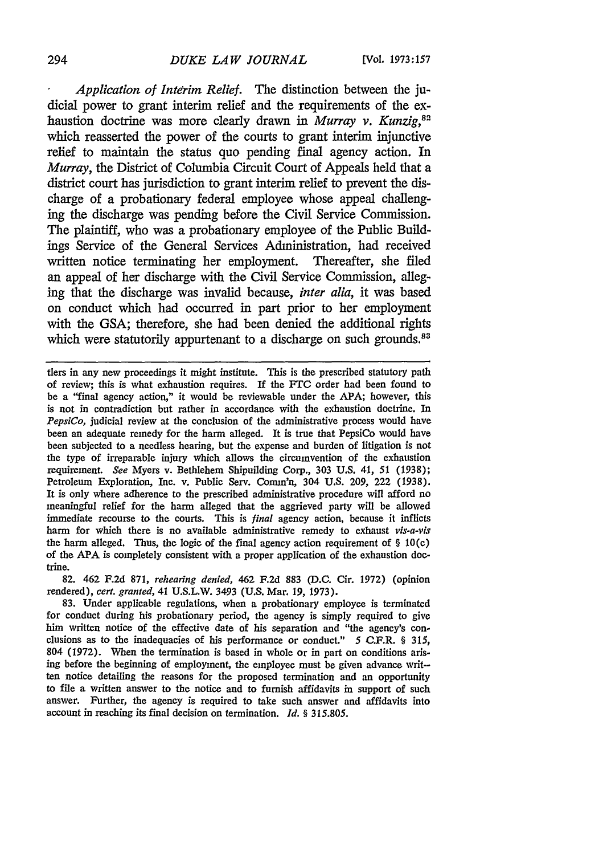## *DUKE LAW JOURNAL* **294 [Vol. 1973:157**

*Application of Interim Relief.* The distinction between the judicial power to grant interim relief and the requirements of the exhaustion doctrine was more clearly drawn in *Murray v. Kunzig,82* which reasserted the power of the courts to grant interim injunctive relief to maintain the status quo pending final agency action. In *Murray,* the District of Columbia Circuit Court of Appeals held that a district court has jurisdiction to grant interim relief to prevent the discharge of a probationary federal employee whose appeal challenging the discharge was pending before the Civil Service Commission. The plaintiff, who was a probationary employee of the Public Buildings Service of the General Services Administration, had received written notice terminating her employment. Thereafter, she filed an appeal of her discharge with the Civil Service Commission, alleging that the discharge was invalid because, *inter alia,* it was based on conduct which had occurred in part prior to her employment with the GSA; therefore, she had been denied the additional rights which were statutorily appurtenant to a discharge on such grounds.<sup>83</sup>

tlers in any new proceedings it might institute. This is the prescribed statutory path of review; this is what exhaustion requires. If the *FTC* order had been found to be a "final agency action," it would be reviewable under the APA; however, this is not in contradiction but rather in accordance with the exhaustion doctrine. In *PepsiCo,* judicial review at the conclusion of the administrative process would have been an adequate remedy for the harm alleged. It is true that PepsiCo would have been subjected to a needless hearing, but the expense and burden of litigation is not the type of irreparable injury which allows the circumvention of the exhaustion requirement. *See* Myers v. Bethlehem Shipuilding Corp., 303 U.S. 41, 51 (1938); Petroleum Exploration, Inc. v. Public Serv. Comm'n, 304 U.S. 209, 222 (1938). It is only where adherence to the prescribed administrative procedure will afford no meaningful relief for the harm alleged that the aggrieved party will be allowed immediate recourse to the courts. This is *final* agency action, because it inflicts harm for which there is no available administrative remedy to exhaust *vis-a-vis* the harm alleged. Thus, the logic of the final agency action requirement of  $\S$  10(c) of the APA is completely consistent with a proper application of the exhaustion doctrine.

82. 462 F.2d 871, *rehearing denied,* 462 F.2d 883 (D.C. Cir. 1972) (opinion rendered), *cert. granted,* 41 U.S.L.W. 3493 (U.S. Mar. 19, 1973).

83. Under applicable regulations, when a probationary employee is terminated for conduct during his probationary period, the agency is simply required to give him written notice of the effective date of his separation and "the agency's conclusions as to the inadequacies of his performance or conduct." 5 C.F.R. § 315, 804 (1972). When the termination is based in whole or in part on conditions arising before the beginning of employment, the employee must be given advance written notice detailing the reasons for the proposed termination and an opportunity to file a written answer to the notice and to furnish affidavits in support of such answer. Further, the agency is required to take such answer and affidavits into account in reaching its final decision on termination. *Id. §* 315.805.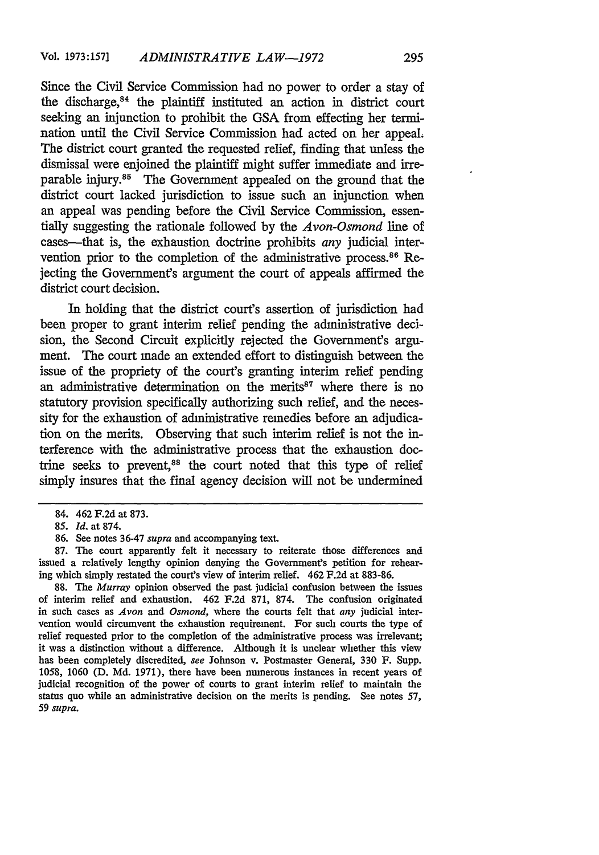Since the Civil Service Commission had no power to order a stay of the discharge,<sup>84</sup> the plaintiff instituted an action in district court seeking an injunction to prohibit the GSA from effecting her termination until the Civil Service Commission had acted on her appeal; The district court granted the requested relief, finding that unless the dismissal were enjoined the plaintiff might suffer immediate and irreparable injury.<sup>85</sup> The Government appealed on the ground that the district court lacked jurisdiction to issue such an injunction when an appeal was pending before the Civil Service Commission, essentially suggesting the rationale followed by the *Avon-Osmond* line of cases-that is, the exhaustion doctrine prohibits *any* judicial intervention prior to the completion of the administrative process.<sup>86</sup> Rejecting the Government's argument the court of appeals affirmed the district court decision.

In holding that the district court's assertion of jurisdiction had been proper to grant interim relief pending the administrative decision, the Second Circuit explicitly rejected the Government's argument. The court made an extended effort to distinguish between the issue of the propriety of the court's granting interim relief pending an administrative determination on the merits $87$  where there is no statutory provision specifically authorizing such relief, and the necessity for the exhaustion of administrative remedies before an adjudication on the merits. Observing that such interim relief is not the interference with the administrative process that the exhaustion doctrine seeks to prevent,<sup>88</sup> the court noted that this type of relief simply insures that the final agency decision will not be undermined

88. The *Murray* opinion observed the past judicial confusion between the issues of interim relief and exhaustion. 462 F.2d 871, 874. The confusion originated in such cases as *Avon and Osmond,* where the courts felt that *any* judicial intervention would circumvent the exhaustion requirement. For such courts the type of relief requested prior to the completion of the administrative process was irrelevant; it was a distinction without a difference. Although it is unclear whether this view has been completely discredited, *see* Johnson v. Postmaster General, 330 F. Supp. 1058, 1060 (D. Md. 1971), there have been numerous instances in recent years of iudicial recognition of the power of courts to grant interim relief to maintain the status quo while an administrative decision on the merits is pending. See notes 57, *59 supra.*

<sup>84. 462</sup> F.2d at 873.

*<sup>85.</sup> Id.* at 874.

<sup>86.</sup> See notes 36-47 *supra* and accompanying text.

<sup>87.</sup> The court apparently felt it necessary to reiterate those differences and issued a relatively lengthy opinion denying the Government's petition for rehearing which simply restated the court's view of interim relief. 462 F.2d at 883-86.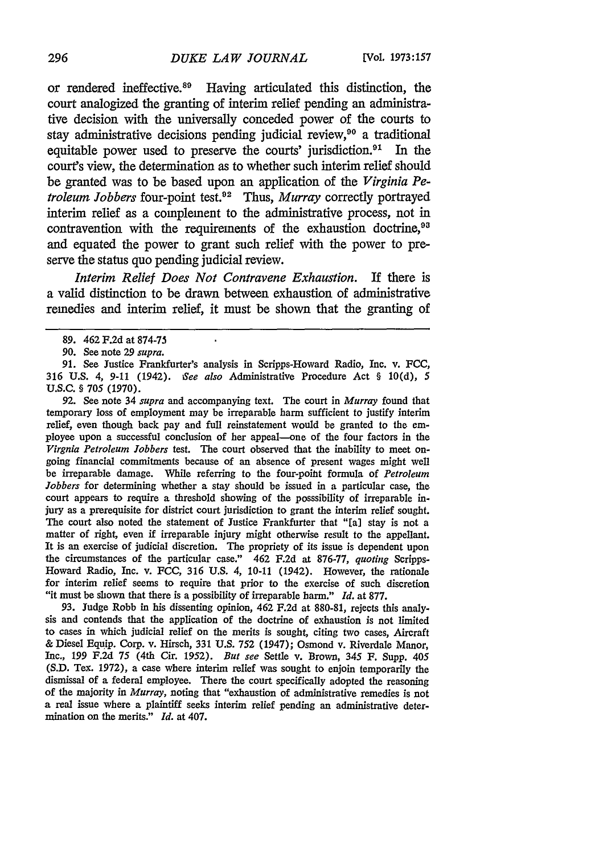or rendered ineffective.<sup>89</sup> Having articulated this distinction, the court analogized the granting of interim relief pending an administrative decision with the universally conceded power of the courts to stay administrative decisions pending judicial review,<sup>90</sup> a traditional equitable power used to preserve the courts' jurisdiction. 91 In the court's view, the determination as to whether such interim relief should be granted was to be based upon an application of the *Virginia Petroleum Jobbers* four-point test.<sup>92</sup> Thus, *Murray* correctly portrayed interim relief as a complement to the administrative process, not in contravention with the requirements of the exhaustion doctrine,<sup>93</sup> and equated the power to grant such relief with the power to preserve the status quo pending judicial review.

*Interim Relief Does Not Contravene Exhaustion.* If there is a valid distinction to be drawn between exhaustion of administrative remedies and interim relief, it must be shown that the granting of

92. See note 34 *supra* and accompanying text. The court in *Murray* found that temporary loss of employment may be irreparable harm sufficient to justify interim relief, even though back pay and full reinstatement would be granted to the employee upon a successful conclusion of her appeal-one of the four factors in the *Virgnia Petroleum Jobbers* test. The court observed that the inability to meet ongoing financial commitments because of an absence of present wages might well be irreparable damage. While referring to the four-point formula of *Petroleum Jobbers* for determining whether a stay should be issued in a particular case, the court appears to require a threshold showing of the posssibility of irreparable injury as a prerequisite for district court jurisdiction to grant the interim relief sought. The court also noted the statement of Justice Frankfurter that "[a] stay is not a matter of right, even if irreparable injury might otherwise result to the appellant. It is an exercise of judicial discretion. The propriety of its issue is dependent upon the circumstances of the particular case." 462 F.2d at 876-77, *quoting* Scripps-Howard Radio, Inc. v. FCC, 316 U.S. 4, 10-11 (1942). However, the rationale for interim relief seems to require that prior to the exercise of such discretion "it must be shown that there is a possibility of irreparable harm." *Id.* at 877.

93. Judge Robb in his dissenting opinion, 462 F.2d at 880-81, rejects this analysis and contends that the application of the doctrine of exhaustion is not limited to cases in which judicial relief on the merits is sought, citing two cases, Aircraft & Diesel Equip. Corp. v. Hirsch, 331 U.S. **752** (1947); Osmond v. Riverdale Manor, Inc., 199 F.2d 75 (4th Cir. 1952). *But see* Settle v. Brown, 345 F. Supp. 405 (S.D. Tex. 1972), a case where interim relief was sought to enjoin temporarily the dismissal of a federal employee. There the court specifically adopted the reasoning of the majority in *Murray,* noting that "exhaustion of administrative remedies is not a real issue where a plaintiff seeks interim relief pending an administrative determination on the merits." *Id.* at 407.

<sup>89. 462</sup> F.2d at 874-75

<sup>90.</sup> See note 29 *supra.*

<sup>91.</sup> See Justice Frankfurter's analysis in Scripps-Howard Radio, Inc. v. FCC, 316 U.S. 4, 9-11 (1942). *See also* Administrative Procedure Act § 10(d), 5 U.S.C. § 705 (1970).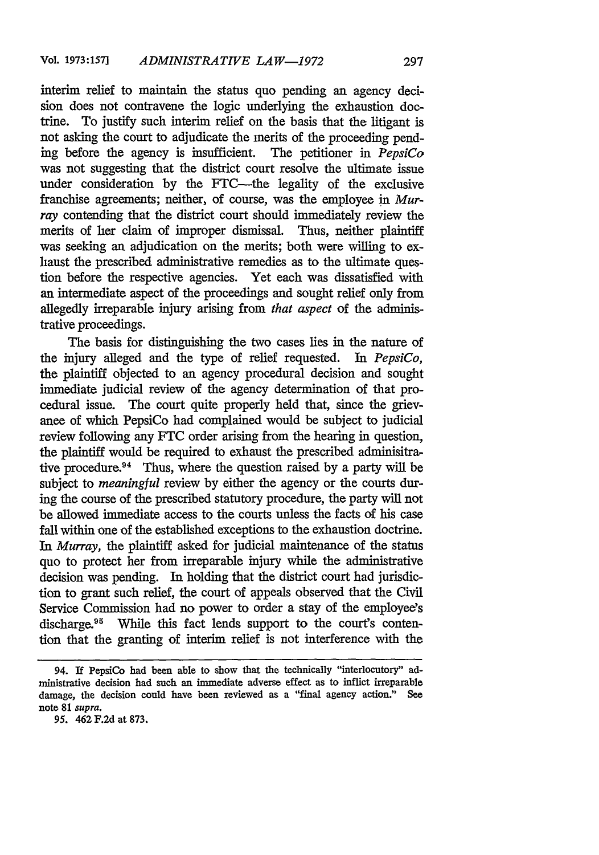interim relief to maintain the status quo pending an agency decision does not contravene the logic underlying the exhaustion doctrine. To justify such interim relief on the basis that the litigant is not asking the court to adjudicate the merits of the proceeding pending before the agency is insufficient. The petitioner in *PepsiCo* was not suggesting that the district court resolve the ultimate issue under consideration by the FTC-the legality of the exclusive franchise agreements; neither, of course, was the employee in Murray contending that the district court should immediately review the merits of her claim of improper dismissal. Thus, neither plaintiff was seeking an adjudication on the merits; both were willing to exhaust the prescribed administrative remedies as to the ultimate question before the respective agencies. Yet each was dissatisfied with an intermediate aspect of the proceedings and sought relief only from allegedly irreparable injury arising from *that aspect* of the administrative proceedings.

The basis for distinguishing the two cases lies in the nature of the injury alleged and the type of relief requested. In *PepsiCo,* the plaintiff objected to an agency procedural decision and sought immediate judicial review of the agency determination of that procedural issue. The court quite properly held that, since the grievance of which PepsiCo had complained would be subject to judicial review following any FTC order arising from the hearing in question, the plaintiff would be required to exhaust the prescribed adminisitrative procedure.<sup>94</sup> Thus, where the question raised by a party will be subject to *meaningful* review by either the agency or the courts during the course of the prescribed statutory procedure, the party will not be allowed immediate access to the courts unless the facts of his case fall within one of the established exceptions to the exhaustion doctrine. *In Murray,* the plaintiff asked for judicial maintenance of the status quo to protect her from irreparable injury while the administrative decision was pending. In holding that the district court had jurisdiction to grant such relief, the court of appeals observed that the Civil Service Commission had no power to order a stay of the employee's discharge.<sup>95</sup> While this fact lends support to the court's contention that the granting of interim relief is not interference with the

<sup>94.</sup> If PepsiCo had been able to show that the technically "interlocutory" administrative decision had such an immediate adverse effect as to inflict irreparable damage, the decision could have been reviewed as a "final agency action." See note 81 *supra.*

*<sup>95.</sup>* 462 **F.2d** at **873.**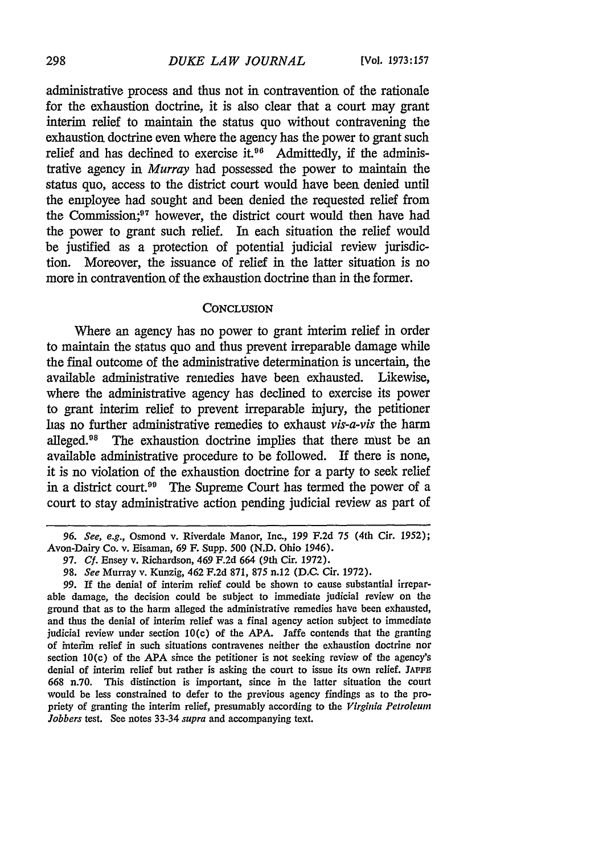administrative process and thus not in contravention of the rationale for the exhaustion doctrine, it is also clear that a court may grant interim relief to maintain the status quo without contravening the exhaustion doctrine even where the agency has the power to grant such relief and has declined to exercise it.<sup>96</sup> Admittedly, if the administrative agency in *Murray* had possessed the power to maintain the status quo, access to the district court would have been denied until the employee had sought and been denied the requested relief from the Commission;<sup>97</sup> however, the district court would then have had the power to grant such relief. In each situation the relief would be justified as a protection of potential judicial review jurisdiction. Moreover, the issuance of relief in the latter situation is no more in contravention of the exhaustion doctrine than in the former.

#### **CONCLUSION**

Where an agency has no power to grant interim relief in order to maintain the status quo and thus prevent irreparable damage while the final outcome of the administrative determination is uncertain, the available administrative remedies have been exhausted. Likewise, where the administrative agency has declined to exercise its power to grant interim relief to prevent irreparable injury, the petitioner has no further administrative remedies to exhaust *vis-a-vis* the harm alleged.98 The exhaustion doctrine implies that there must be an available administrative procedure to be followed. If there is none, it is no violation of the exhaustion doctrine for a party to seek relief in a district court.<sup>99</sup> The Supreme Court has termed the power of a court to stay administrative action pending judicial review as part of

*<sup>96.</sup> See, e.g.,* Osmond v. Riverdale Manor, Inc., 199 F.2d 75 (4th Cir. 1952); Avon-Dairy Co. v. Eisaman, 69 F. Supp. 500 (N.D. Ohio 1946).

<sup>97.</sup> *Cf.* Ensey v. Richardson, 469 F.2d 664 (9th Cir. 1972).

<sup>98.</sup> *See* Murray v. Kunzig, 462 F.2d 871, 875 n.12 (D.C. Cir. 1972).

<sup>99.</sup> If the denial of interim relief could be shown to cause substantial irreparable damage, the decision could be subject to immediate judicial review on the ground that as to the harm alleged the administrative remedies have been exhausted, and thus the denial of interim relief was a final agency action subject to immediate judicial review under section 10(c) of the APA. Jaffe contends that the granting of interim relief in such situations contravenes neither the exhaustion doctrine nor section 10(c) of the APA since the petitioner is not seeking review of the agency's denial of interim relief but rather is asking the court to issue its own relief. **JAFFn** 668 n.70. This distinction is important, since in the latter situation the court would be less constrained to defer to the previous agency findings as to the propriety of granting the interim relief, presumably according to the *Virginia Petroleum Jobbers* test. See notes 33-34 *supra* and accompanying text.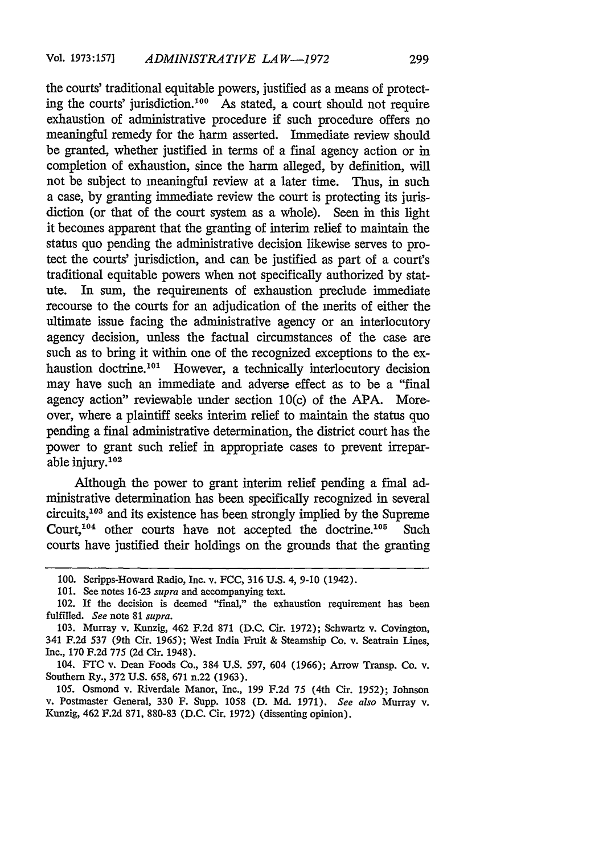the courts' traditional equitable powers, justified as a means of protecting the courts' jurisdiction.<sup>100</sup> As stated, a court should not require exhaustion of administrative procedure if such procedure offers no meaningful remedy for the harm asserted. Immediate review should be granted, whether justified in terms of a final agency action or in completion of exhaustion, since the harm alleged, by definition, will not be subject to meaningful review at a later time. Thus, in such a case, by granting immediate review the court is protecting its jurisdiction (or that of the court system as a whole). Seen in this light it becomes apparent that the granting of interim relief to maintain the status quo pending the administrative decision likewise serves to protect the courts' jurisdiction, and can be justified as part of a court's traditional equitable powers when not specifically authorized by statute. In sum, the requirements of exhaustion preclude immediate recourse to the courts for an adjudication of the merits of either the ultimate issue facing the administrative agency or an interlocutory agency decision, unless the factual circumstances of the case are such as to bring it within one of the recognized exceptions to the exhaustion doctrine.<sup>101</sup> However, a technically interlocutory decision may have such an immediate and adverse effect as to be a "final agency action" reviewable under section 10(c) of the APA. Moreover, where a plaintiff seeks interim relief to maintain the status quo pending a final administrative determination, the district court has the power to grant such relief in appropriate cases to prevent irreparable injury.<sup>102</sup>

Although the power to grant interim relief pending a final administrative determination has been specifically recognized in several circuits, $103$  and its existence has been strongly implied by the Supreme Court,  $104$  other courts have not accepted the doctrine.<sup>105</sup> Such courts have justified their holdings on the grounds that the granting

105. Osmond v. Riverdale Manor, Inc., 199 F.2d 75 (4th Cir. 1952); Johnson v. Postmaster General, 330 F. Supp. 1058 (D. Md. 1971). *See also* Murray v. Kunzig, 462 F.2d 871, 880-83 (D.C. Cir. 1972) (dissenting opinion).

<sup>100.</sup> Scripps-Howard Radio, Inc. v. FCC, 316 U.S. 4, 9-10 (1942).

<sup>101.</sup> See notes 16-23 *supra* and accompanying text.

<sup>102.</sup> If the decision is deemed "final," the exhaustion requirement has been fulfilled. *See* note 81 *supra.*

<sup>103.</sup> Murray v. Kunzig, 462 F.2d 871 (D.C. Cir. 1972); Schwartz v. Covington, 341 F.2d 537 (9th Cir. 1965); West India Fruit **&** Steamship Co. v. Seatrain Lines, Inc., 170 **F.2d** 775 (2d Cir. 1948).

<sup>104.</sup> **FTC** v. Dean Foods Co., 384 U.S. 597, 604 (1966); Arrow Transp. Co. v. Southern Ry., 372 U.S. 658, 671 n.22 (1963).